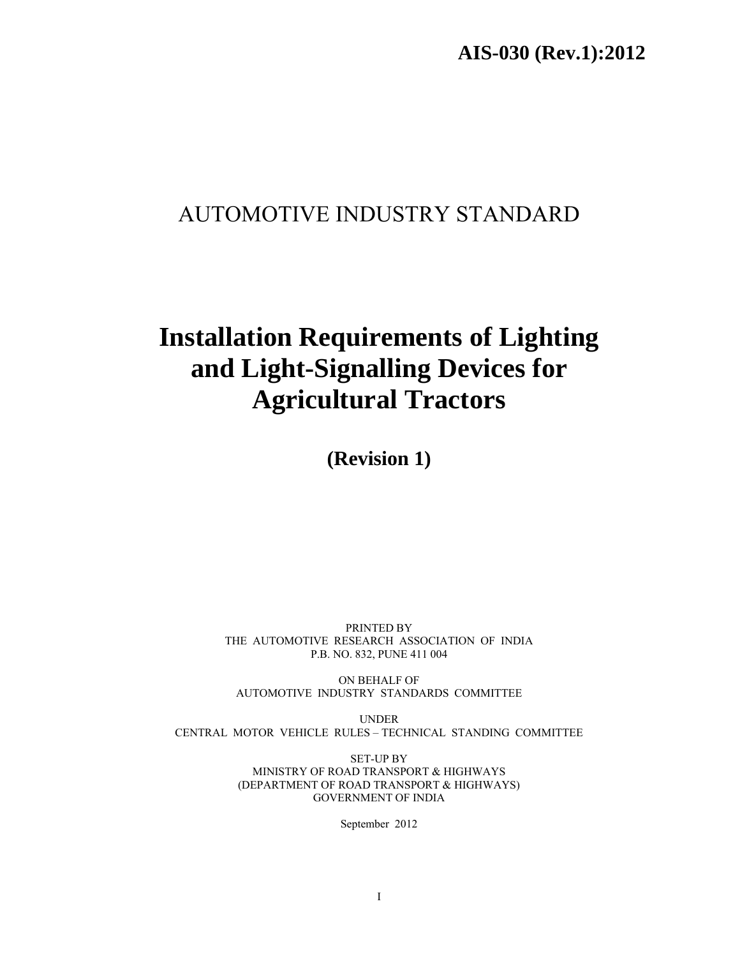# AUTOMOTIVE INDUSTRY STANDARD

# **Installation Requirements of Lighting and Light-Signalling Devices for Agricultural Tractors**

**(Revision 1)** 

PRINTED BY THE AUTOMOTIVE RESEARCH ASSOCIATION OF INDIA P.B. NO. 832, PUNE 411 004

ON BEHALF OF AUTOMOTIVE INDUSTRY STANDARDS COMMITTEE

UNDER CENTRAL MOTOR VEHICLE RULES – TECHNICAL STANDING COMMITTEE

> SET-UP BY MINISTRY OF ROAD TRANSPORT & HIGHWAYS (DEPARTMENT OF ROAD TRANSPORT & HIGHWAYS) GOVERNMENT OF INDIA

> > September 2012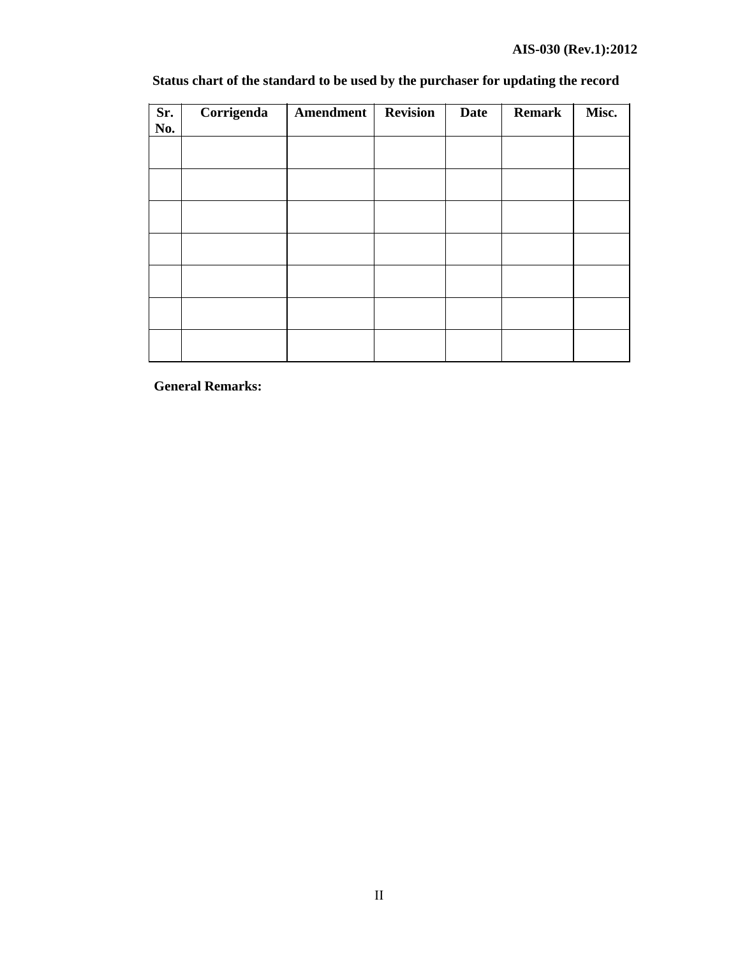| Sr.<br>No. | Corrigenda | Amendment | <b>Revision</b> | <b>Date</b> | <b>Remark</b> | Misc. |
|------------|------------|-----------|-----------------|-------------|---------------|-------|
|            |            |           |                 |             |               |       |
|            |            |           |                 |             |               |       |
|            |            |           |                 |             |               |       |
|            |            |           |                 |             |               |       |
|            |            |           |                 |             |               |       |
|            |            |           |                 |             |               |       |
|            |            |           |                 |             |               |       |

# **Status chart of the standard to be used by the purchaser for updating the record**

**General Remarks:**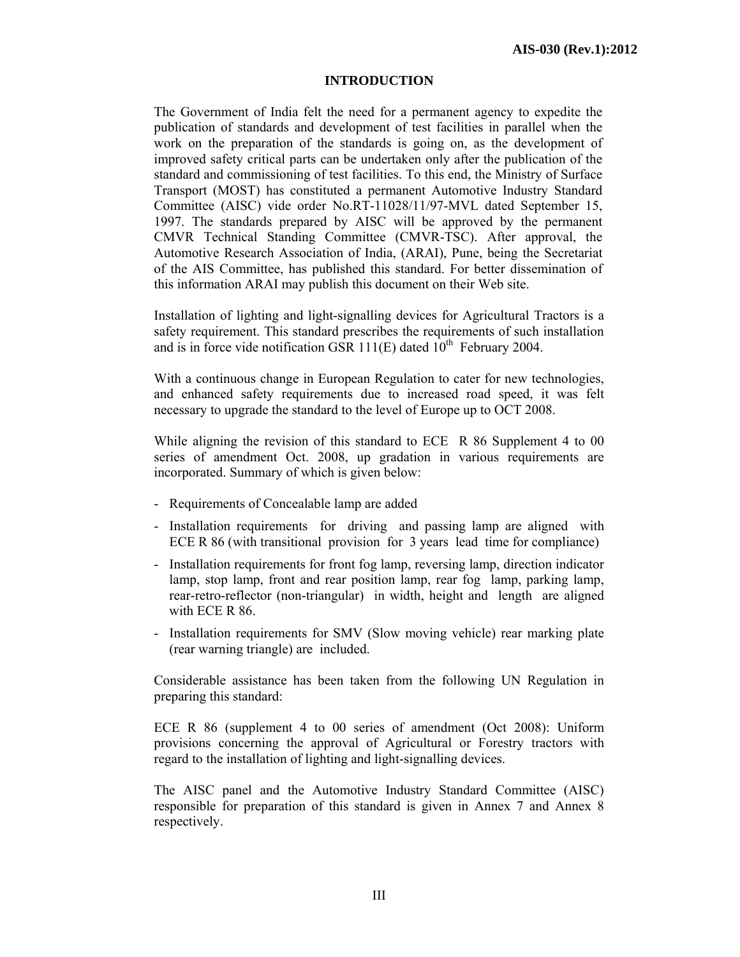# **INTRODUCTION**

The Government of India felt the need for a permanent agency to expedite the publication of standards and development of test facilities in parallel when the work on the preparation of the standards is going on, as the development of improved safety critical parts can be undertaken only after the publication of the standard and commissioning of test facilities. To this end, the Ministry of Surface Transport (MOST) has constituted a permanent Automotive Industry Standard Committee (AISC) vide order No.RT-11028/11/97-MVL dated September 15, 1997. The standards prepared by AISC will be approved by the permanent CMVR Technical Standing Committee (CMVR-TSC). After approval, the Automotive Research Association of India, (ARAI), Pune, being the Secretariat of the AIS Committee, has published this standard. For better dissemination of this information ARAI may publish this document on their Web site.

Installation of lighting and light-signalling devices for Agricultural Tractors is a safety requirement. This standard prescribes the requirements of such installation and is in force vide notification GSR  $111(E)$  dated  $10^{th}$  February 2004.

With a continuous change in European Regulation to cater for new technologies, and enhanced safety requirements due to increased road speed, it was felt necessary to upgrade the standard to the level of Europe up to OCT 2008.

While aligning the revision of this standard to ECE R 86 Supplement 4 to 00 series of amendment Oct. 2008, up gradation in various requirements are incorporated. Summary of which is given below:

- Requirements of Concealable lamp are added
- Installation requirements for driving and passing lamp are aligned with ECE R 86 (with transitional provision for 3 years lead time for compliance)
- Installation requirements for front fog lamp, reversing lamp, direction indicator lamp, stop lamp, front and rear position lamp, rear fog lamp, parking lamp, rear-retro-reflector (non-triangular) in width, height and length are aligned with ECE R 86.
- Installation requirements for SMV (Slow moving vehicle) rear marking plate (rear warning triangle) are included.

Considerable assistance has been taken from the following UN Regulation in preparing this standard:

ECE R 86 (supplement 4 to 00 series of amendment (Oct 2008): Uniform provisions concerning the approval of Agricultural or Forestry tractors with regard to the installation of lighting and light-signalling devices.

The AISC panel and the Automotive Industry Standard Committee (AISC) responsible for preparation of this standard is given in Annex 7 and Annex 8 respectively.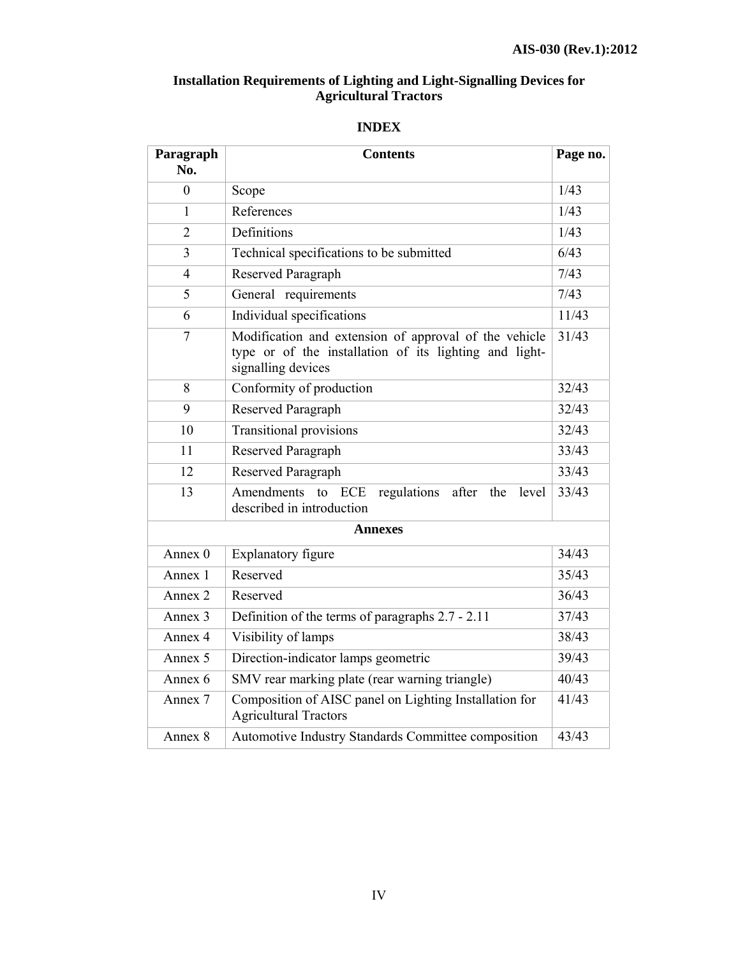# **Installation Requirements of Lighting and Light-Signalling Devices for Agricultural Tractors**

| Paragraph<br>No. | <b>Contents</b>                                                                                                                       | Page no. |
|------------------|---------------------------------------------------------------------------------------------------------------------------------------|----------|
| $\mathbf{0}$     | Scope                                                                                                                                 | 1/43     |
| 1                | References                                                                                                                            | 1/43     |
| $\overline{2}$   | Definitions                                                                                                                           | 1/43     |
| 3                | Technical specifications to be submitted                                                                                              | 6/43     |
| 4                | Reserved Paragraph                                                                                                                    | 7/43     |
| 5                | General requirements                                                                                                                  | 7/43     |
| 6                | Individual specifications                                                                                                             | 11/43    |
| $\overline{7}$   | Modification and extension of approval of the vehicle<br>type or of the installation of its lighting and light-<br>signalling devices | 31/43    |
| 8                | Conformity of production                                                                                                              | 32/43    |
| 9                | Reserved Paragraph                                                                                                                    | 32/43    |
| 10               | <b>Transitional provisions</b>                                                                                                        | 32/43    |
| 11               | Reserved Paragraph                                                                                                                    | 33/43    |
| 12               | Reserved Paragraph                                                                                                                    | 33/43    |
| 13               | Amendments<br><b>ECE</b><br>regulations<br>to<br>after<br>the<br>level<br>described in introduction                                   |          |
|                  | <b>Annexes</b>                                                                                                                        |          |
| Annex 0          | Explanatory figure                                                                                                                    | 34/43    |
| Annex 1          | Reserved                                                                                                                              | 35/43    |
| Annex 2          | Reserved                                                                                                                              | 36/43    |
| Annex 3          | Definition of the terms of paragraphs 2.7 - 2.11                                                                                      | 37/43    |
| Annex 4          | Visibility of lamps                                                                                                                   | 38/43    |
| Annex 5          | Direction-indicator lamps geometric                                                                                                   | 39/43    |
| Annex 6          | SMV rear marking plate (rear warning triangle)                                                                                        | 40/43    |
| Annex 7          | Composition of AISC panel on Lighting Installation for<br><b>Agricultural Tractors</b>                                                | 41/43    |
| Annex 8          | Automotive Industry Standards Committee composition                                                                                   | 43/43    |

# **INDEX**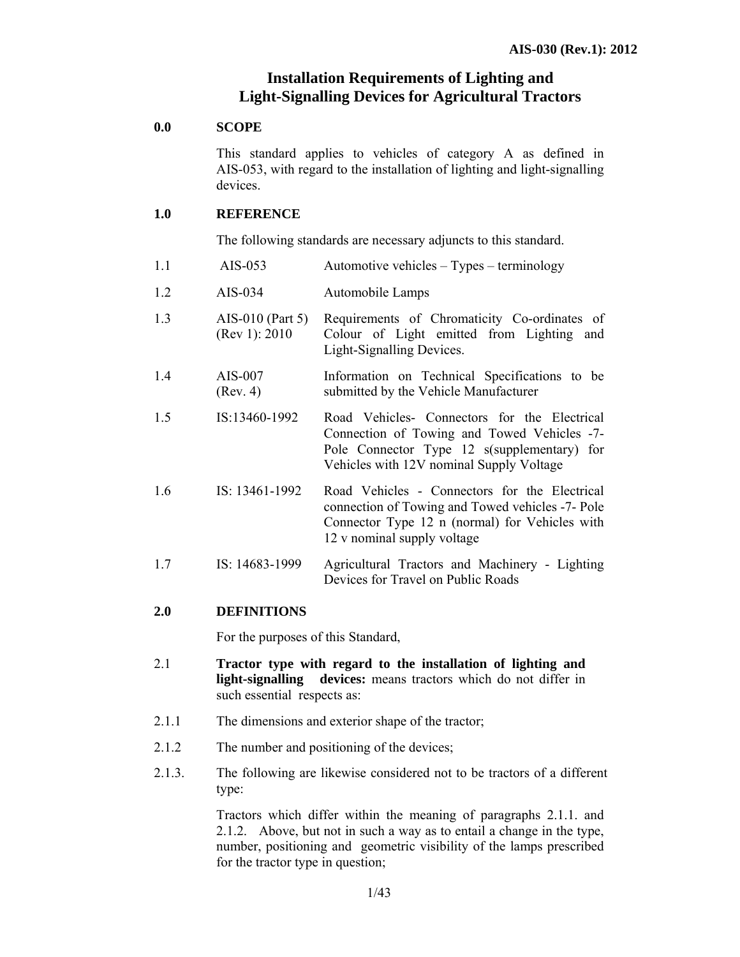# **Installation Requirements of Lighting and Light-Signalling Devices for Agricultural Tractors**

#### **0.0 SCOPE**

This standard applies to vehicles of category A as defined in AIS-053, with regard to the installation of lighting and light-signalling devices.

#### **1.0 REFERENCE**

The following standards are necessary adjuncts to this standard.

- 1.1 AIS-053 Automotive vehicles Types terminology
- 1.2 AIS-034 Automobile Lamps
- 1.3 AIS-010 (Part 5) (Rev 1): 2010 Requirements of Chromaticity Co-ordinates of Colour of Light emitted from Lighting and Light-Signalling Devices.
- 1.4 AIS-007 (Rev. 4) Information on Technical Specifications to be submitted by the Vehicle Manufacturer
- 1.5 IS:13460-1992 Road Vehicles- Connectors for the Electrical Connection of Towing and Towed Vehicles -7- Pole Connector Type 12 s(supplementary) for Vehicles with 12V nominal Supply Voltage
- 1.6 IS: 13461-1992 Road Vehicles Connectors for the Electrical connection of Towing and Towed vehicles -7- Pole Connector Type 12 n (normal) for Vehicles with 12 v nominal supply voltage
- 1.7 IS: 14683-1999 Agricultural Tractors and Machinery Lighting Devices for Travel on Public Roads

# **2.0 DEFINITIONS**

For the purposes of this Standard,

- 2.1 **Tractor type with regard to the installation of lighting and light-signalling devices:** means tractors which do not differ in such essential respects as:
- 2.1.1 The dimensions and exterior shape of the tractor;
- 2.1.2 The number and positioning of the devices;
- 2.1.3. The following are likewise considered not to be tractors of a different type:

Tractors which differ within the meaning of paragraphs 2.1.1. and 2.1.2. Above, but not in such a way as to entail a change in the type, number, positioning and geometric visibility of the lamps prescribed for the tractor type in question;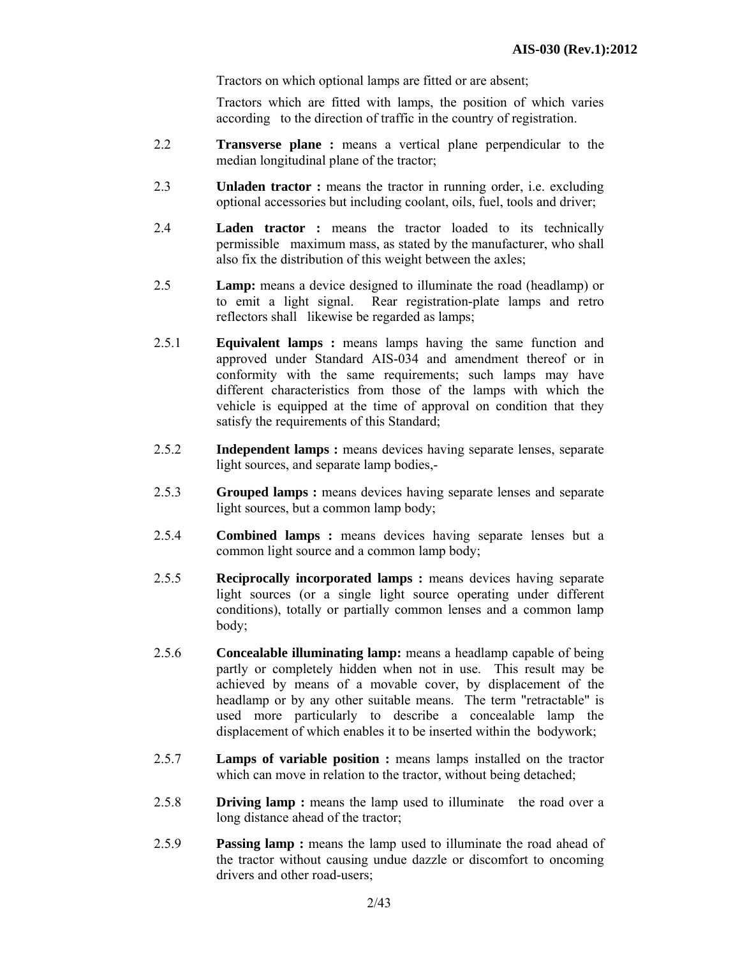Tractors on which optional lamps are fitted or are absent;

Tractors which are fitted with lamps, the position of which varies according to the direction of traffic in the country of registration.

- 2.2 **Transverse plane :** means a vertical plane perpendicular to the median longitudinal plane of the tractor;
- 2.3 **Unladen tractor :** means the tractor in running order, i.e. excluding optional accessories but including coolant, oils, fuel, tools and driver;
- 2.4 **Laden tractor :** means the tractor loaded to its technically permissible maximum mass, as stated by the manufacturer, who shall also fix the distribution of this weight between the axles;
- 2.5 **Lamp:** means a device designed to illuminate the road (headlamp) or to emit a light signal. Rear registration-plate lamps and retro reflectors shall likewise be regarded as lamps;
- 2.5.1 **Equivalent lamps :** means lamps having the same function and approved under Standard AIS-034 and amendment thereof or in conformity with the same requirements; such lamps may have different characteristics from those of the lamps with which the vehicle is equipped at the time of approval on condition that they satisfy the requirements of this Standard;
- 2.5.2 **Independent lamps :** means devices having separate lenses, separate light sources, and separate lamp bodies,-
- 2.5.3 **Grouped lamps :** means devices having separate lenses and separate light sources, but a common lamp body;
- 2.5.4 **Combined lamps :** means devices having separate lenses but a common light source and a common lamp body;
- 2.5.5 **Reciprocally incorporated lamps :** means devices having separate light sources (or a single light source operating under different conditions), totally or partially common lenses and a common lamp body;
- 2.5.6 **Concealable illuminating lamp:** means a headlamp capable of being partly or completely hidden when not in use. This result may be achieved by means of a movable cover, by displacement of the headlamp or by any other suitable means. The term "retractable" is used more particularly to describe a concealable lamp the displacement of which enables it to be inserted within the bodywork;
- 2.5.7 **Lamps of variable position :** means lamps installed on the tractor which can move in relation to the tractor, without being detached;
- 2.5.8 **Driving lamp :** means the lamp used to illuminate the road over a long distance ahead of the tractor;
- 2.5.9 **Passing lamp :** means the lamp used to illuminate the road ahead of the tractor without causing undue dazzle or discomfort to oncoming drivers and other road-users;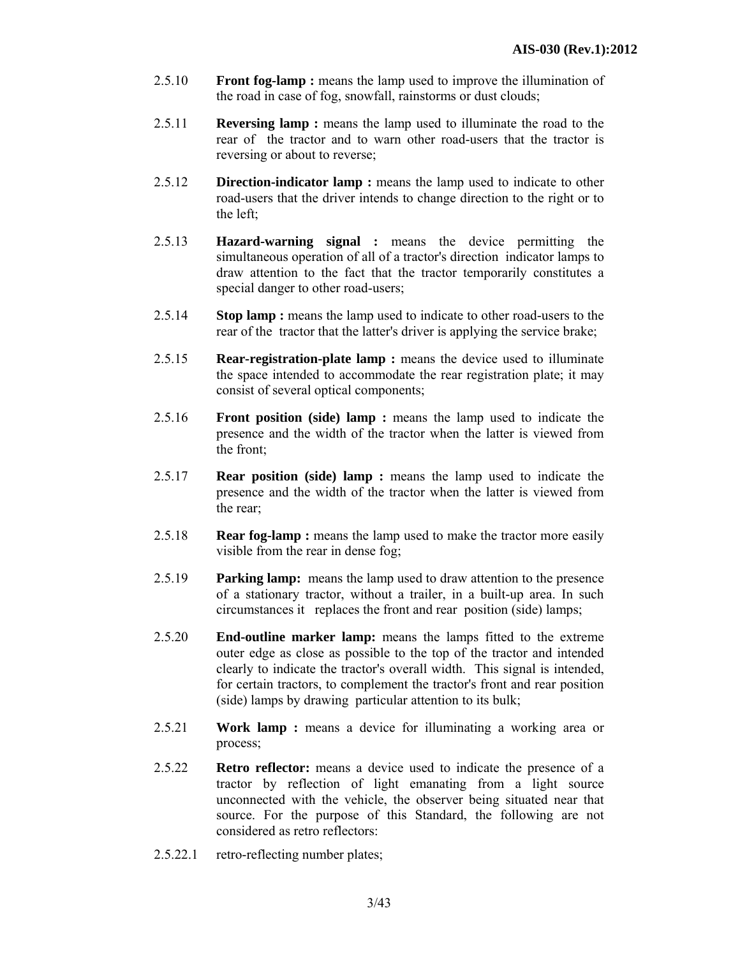- 2.5.10 **Front fog-lamp :** means the lamp used to improve the illumination of the road in case of fog, snowfall, rainstorms or dust clouds;
- 2.5.11 **Reversing lamp :** means the lamp used to illuminate the road to the rear of the tractor and to warn other road-users that the tractor is reversing or about to reverse;
- 2.5.12 **Direction-indicator lamp :** means the lamp used to indicate to other road-users that the driver intends to change direction to the right or to the left;
- 2.5.13 **Hazard-warning signal :** means the device permitting the simultaneous operation of all of a tractor's direction indicator lamps to draw attention to the fact that the tractor temporarily constitutes a special danger to other road-users;
- 2.5.14 **Stop lamp :** means the lamp used to indicate to other road-users to the rear of the tractor that the latter's driver is applying the service brake;
- 2.5.15 **Rear-registration-plate lamp :** means the device used to illuminate the space intended to accommodate the rear registration plate; it may consist of several optical components;
- 2.5.16 **Front position (side) lamp :** means the lamp used to indicate the presence and the width of the tractor when the latter is viewed from the front;
- 2.5.17 **Rear position (side) lamp :** means the lamp used to indicate the presence and the width of the tractor when the latter is viewed from the rear;
- 2.5.18 **Rear fog-lamp :** means the lamp used to make the tractor more easily visible from the rear in dense fog;
- 2.5.19 **Parking lamp:** means the lamp used to draw attention to the presence of a stationary tractor, without a trailer, in a built-up area. In such circumstances it replaces the front and rear position (side) lamps;
- 2.5.20 **End-outline marker lamp:** means the lamps fitted to the extreme outer edge as close as possible to the top of the tractor and intended clearly to indicate the tractor's overall width. This signal is intended, for certain tractors, to complement the tractor's front and rear position (side) lamps by drawing particular attention to its bulk;
- 2.5.21 **Work lamp :** means a device for illuminating a working area or process;
- 2.5.22 **Retro reflector:** means a device used to indicate the presence of a tractor by reflection of light emanating from a light source unconnected with the vehicle, the observer being situated near that source. For the purpose of this Standard, the following are not considered as retro reflectors:
- 2.5.22.1 retro-reflecting number plates;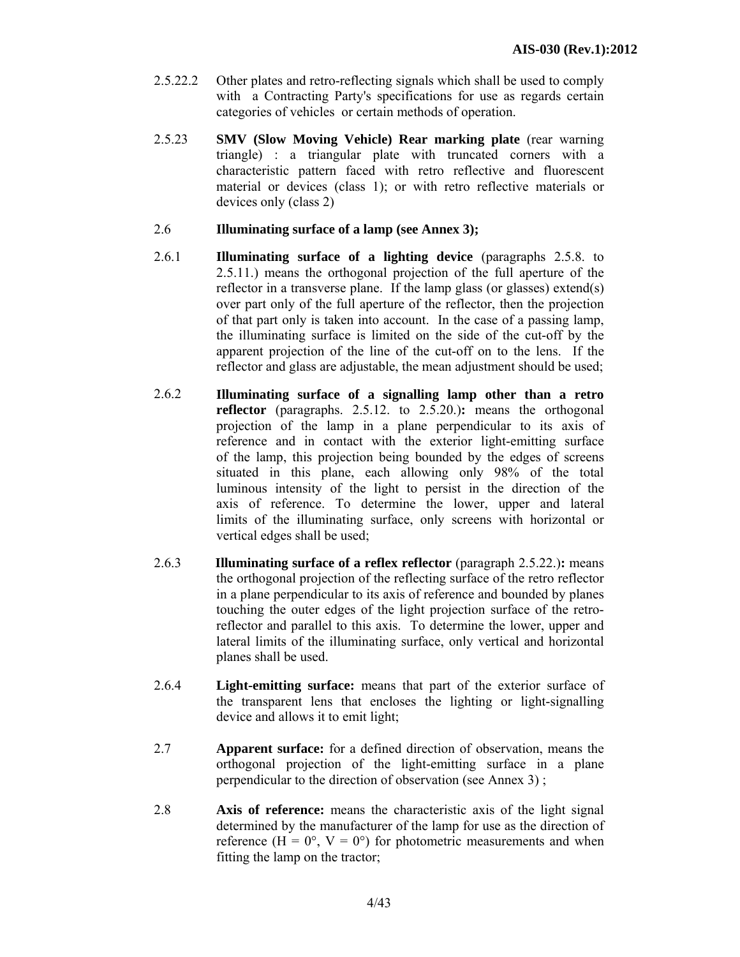- 2.5.22.2 Other plates and retro-reflecting signals which shall be used to comply with a Contracting Party's specifications for use as regards certain categories of vehicles or certain methods of operation.
- 2.5.23 **SMV (Slow Moving Vehicle) Rear marking plate** (rear warning triangle) : a triangular plate with truncated corners with a characteristic pattern faced with retro reflective and fluorescent material or devices (class 1); or with retro reflective materials or devices only (class 2)
- 2.6 **Illuminating surface of a lamp (see Annex 3);**
- 2.6.1 **Illuminating surface of a lighting device** (paragraphs 2.5.8. to 2.5.11.) means the orthogonal projection of the full aperture of the reflector in a transverse plane. If the lamp glass (or glasses) extend(s) over part only of the full aperture of the reflector, then the projection of that part only is taken into account. In the case of a passing lamp, the illuminating surface is limited on the side of the cut-off by the apparent projection of the line of the cut-off on to the lens. If the reflector and glass are adjustable, the mean adjustment should be used;
- 2.6.2 **Illuminating surface of a signalling lamp other than a retro reflector** (paragraphs. 2.5.12. to 2.5.20.)**:** means the orthogonal projection of the lamp in a plane perpendicular to its axis of reference and in contact with the exterior light-emitting surface of the lamp, this projection being bounded by the edges of screens situated in this plane, each allowing only 98% of the total luminous intensity of the light to persist in the direction of the axis of reference. To determine the lower, upper and lateral limits of the illuminating surface, only screens with horizontal or vertical edges shall be used;
- 2.6.3 **Illuminating surface of a reflex reflector** (paragraph 2.5.22.)**:** means the orthogonal projection of the reflecting surface of the retro reflector in a plane perpendicular to its axis of reference and bounded by planes touching the outer edges of the light projection surface of the retroreflector and parallel to this axis. To determine the lower, upper and lateral limits of the illuminating surface, only vertical and horizontal planes shall be used.
- 2.6.4 **Light-emitting surface:** means that part of the exterior surface of the transparent lens that encloses the lighting or light-signalling device and allows it to emit light;
- 2.7 **Apparent surface:** for a defined direction of observation, means the orthogonal projection of the light-emitting surface in a plane perpendicular to the direction of observation (see Annex 3) ;
- 2.8 **Axis of reference:** means the characteristic axis of the light signal determined by the manufacturer of the lamp for use as the direction of reference ( $H = 0^{\circ}$ ,  $V = 0^{\circ}$ ) for photometric measurements and when fitting the lamp on the tractor;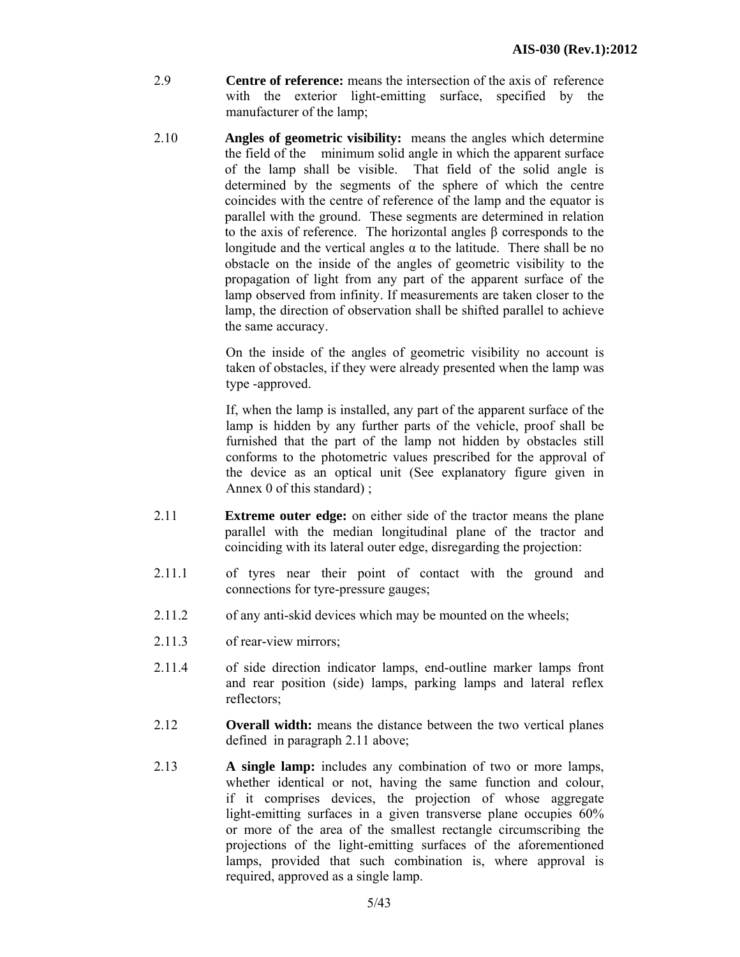- 2.9 **Centre of reference:** means the intersection of the axis of reference with the exterior light-emitting surface, specified by the manufacturer of the lamp;
- 2.10 **Angles of geometric visibility:** means the angles which determine the field of the minimum solid angle in which the apparent surface of the lamp shall be visible. That field of the solid angle is determined by the segments of the sphere of which the centre coincides with the centre of reference of the lamp and the equator is parallel with the ground. These segments are determined in relation to the axis of reference. The horizontal angles β corresponds to the longitude and the vertical angles  $\alpha$  to the latitude. There shall be no obstacle on the inside of the angles of geometric visibility to the propagation of light from any part of the apparent surface of the lamp observed from infinity. If measurements are taken closer to the lamp, the direction of observation shall be shifted parallel to achieve the same accuracy.

On the inside of the angles of geometric visibility no account is taken of obstacles, if they were already presented when the lamp was type -approved.

If, when the lamp is installed, any part of the apparent surface of the lamp is hidden by any further parts of the vehicle, proof shall be furnished that the part of the lamp not hidden by obstacles still conforms to the photometric values prescribed for the approval of the device as an optical unit (See explanatory figure given in Annex 0 of this standard) ;

- 2.11 **Extreme outer edge:** on either side of the tractor means the plane parallel with the median longitudinal plane of the tractor and coinciding with its lateral outer edge, disregarding the projection:
- 2.11.1 of tyres near their point of contact with the ground and connections for tyre-pressure gauges;
- 2.11.2 of any anti-skid devices which may be mounted on the wheels;
- 2.11.3 of rear-view mirrors;
- 2.11.4 of side direction indicator lamps, end-outline marker lamps front and rear position (side) lamps, parking lamps and lateral reflex reflectors;
- 2.12 **Overall width:** means the distance between the two vertical planes defined in paragraph 2.11 above;
- 2.13 **A single lamp:** includes any combination of two or more lamps, whether identical or not, having the same function and colour, if it comprises devices, the projection of whose aggregate light-emitting surfaces in a given transverse plane occupies  $60\%$ or more of the area of the smallest rectangle circumscribing the projections of the light-emitting surfaces of the aforementioned lamps, provided that such combination is, where approval is required, approved as a single lamp.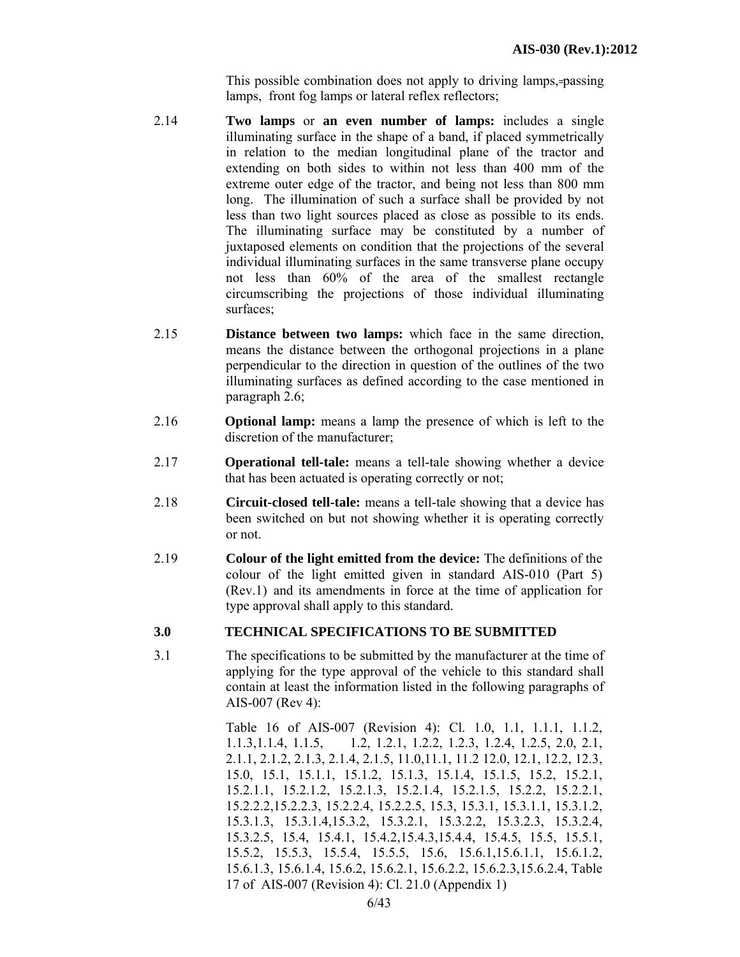This possible combination does not apply to driving lamps, passing lamps, front fog lamps or lateral reflex reflectors;

- 2.14 **Two lamps** or **an even number of lamps:** includes a single illuminating surface in the shape of a band, if placed symmetrically in relation to the median longitudinal plane of the tractor and extending on both sides to within not less than 400 mm of the extreme outer edge of the tractor, and being not less than 800 mm long. The illumination of such a surface shall be provided by not less than two light sources placed as close as possible to its ends. The illuminating surface may be constituted by a number of juxtaposed elements on condition that the projections of the several individual illuminating surfaces in the same transverse plane occupy not less than 60% of the area of the smallest rectangle circumscribing the projections of those individual illuminating surfaces;
- 2.15 **Distance between two lamps:** which face in the same direction, means the distance between the orthogonal projections in a plane perpendicular to the direction in question of the outlines of the two illuminating surfaces as defined according to the case mentioned in paragraph 2.6;
- 2.16 **Optional lamp:** means a lamp the presence of which is left to the discretion of the manufacturer;
- 2.17 **Operational tell-tale:** means a tell-tale showing whether a device that has been actuated is operating correctly or not;
- 2.18 **Circuit-closed tell-tale:** means a tell-tale showing that a device has been switched on but not showing whether it is operating correctly or not.
- 2.19 **Colour of the light emitted from the device:** The definitions of the colour of the light emitted given in standard AIS-010 (Part 5) (Rev.1) and its amendments in force at the time of application for type approval shall apply to this standard.

# **3.0 TECHNICAL SPECIFICATIONS TO BE SUBMITTED**

3.1 The specifications to be submitted by the manufacturer at the time of applying for the type approval of the vehicle to this standard shall contain at least the information listed in the following paragraphs of AIS-007 (Rev 4):

> Table 16 of AIS-007 (Revision 4): Cl. 1.0, 1.1, 1.1.1, 1.1.2, 1.1.3,1.1.4, 1.1.5, 1.2, 1.2.1, 1.2.2, 1.2.3, 1.2.4, 1.2.5, 2.0, 2.1, 2.1.1, 2.1.2, 2.1.3, 2.1.4, 2.1.5, 11.0,11.1, 11.2 12.0, 12.1, 12.2, 12.3, 15.0, 15.1, 15.1.1, 15.1.2, 15.1.3, 15.1.4, 15.1.5, 15.2, 15.2.1, 15.2.1.1, 15.2.1.2, 15.2.1.3, 15.2.1.4, 15.2.1.5, 15.2.2, 15.2.2.1, 15.2.2.2,15.2.2.3, 15.2.2.4, 15.2.2.5, 15.3, 15.3.1, 15.3.1.1, 15.3.1.2, 15.3.1.3, 15.3.1.4,15.3.2, 15.3.2.1, 15.3.2.2, 15.3.2.3, 15.3.2.4, 15.3.2.5, 15.4, 15.4.1, 15.4.2,15.4.3,15.4.4, 15.4.5, 15.5, 15.5.1, 15.5.2, 15.5.3, 15.5.4, 15.5.5, 15.6, 15.6.1,15.6.1.1, 15.6.1.2, 15.6.1.3, 15.6.1.4, 15.6.2, 15.6.2.1, 15.6.2.2, 15.6.2.3,15.6.2.4, Table 17 of AIS-007 (Revision 4): Cl. 21.0 (Appendix 1)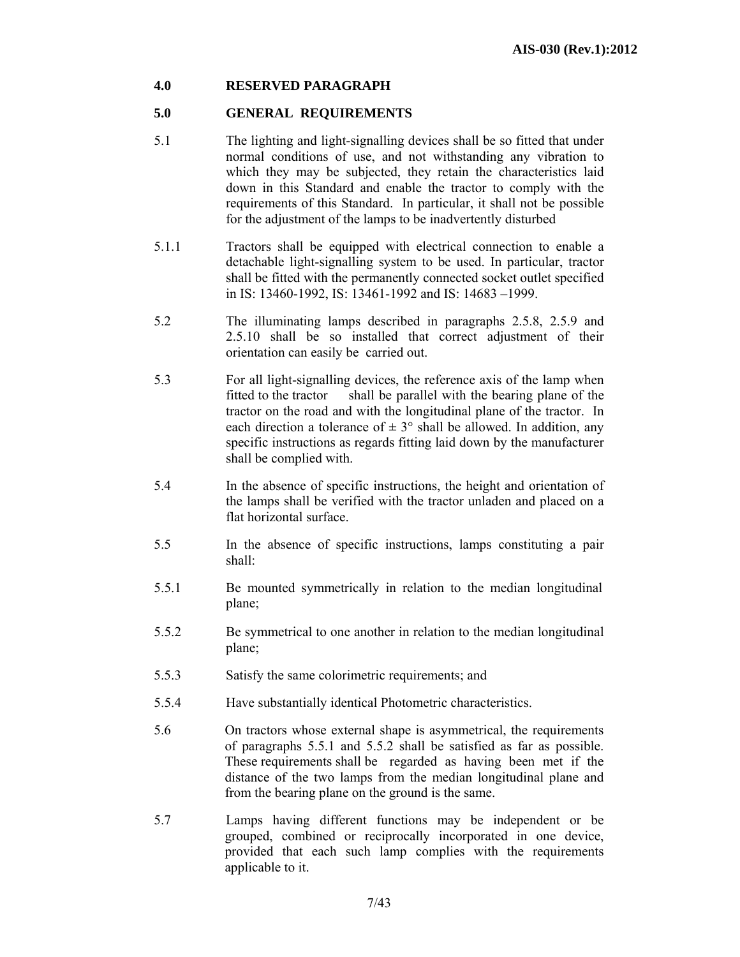# **4.0 RESERVED PARAGRAPH**

# **5.0 GENERAL REQUIREMENTS**

- 5.1 The lighting and light-signalling devices shall be so fitted that under normal conditions of use, and not withstanding any vibration to which they may be subjected, they retain the characteristics laid down in this Standard and enable the tractor to comply with the requirements of this Standard. In particular, it shall not be possible for the adjustment of the lamps to be inadvertently disturbed
- 5.1.1 Tractors shall be equipped with electrical connection to enable a detachable light-signalling system to be used. In particular, tractor shall be fitted with the permanently connected socket outlet specified in IS: 13460-1992, IS: 13461-1992 and IS: 14683 –1999.
- 5.2 The illuminating lamps described in paragraphs 2.5.8, 2.5.9 and 2.5.10 shall be so installed that correct adjustment of their orientation can easily be carried out.
- 5.3 For all light-signalling devices, the reference axis of the lamp when fitted to the tractor shall be parallel with the bearing plane of the tractor on the road and with the longitudinal plane of the tractor. In each direction a tolerance of  $\pm 3^{\circ}$  shall be allowed. In addition, any specific instructions as regards fitting laid down by the manufacturer shall be complied with.
- 5.4 In the absence of specific instructions, the height and orientation of the lamps shall be verified with the tractor unladen and placed on a flat horizontal surface.
- 5.5 In the absence of specific instructions, lamps constituting a pair shall:
- 5.5.1 Be mounted symmetrically in relation to the median longitudinal plane;
- 5.5.2 Be symmetrical to one another in relation to the median longitudinal plane;
- 5.5.3 Satisfy the same colorimetric requirements; and
- 5.5.4 Have substantially identical Photometric characteristics.
- 5.6 On tractors whose external shape is asymmetrical, the requirements of paragraphs 5.5.1 and 5.5.2 shall be satisfied as far as possible. These requirements shall be regarded as having been met if the distance of the two lamps from the median longitudinal plane and from the bearing plane on the ground is the same.
- 5.7 Lamps having different functions may be independent or be grouped, combined or reciprocally incorporated in one device, provided that each such lamp complies with the requirements applicable to it.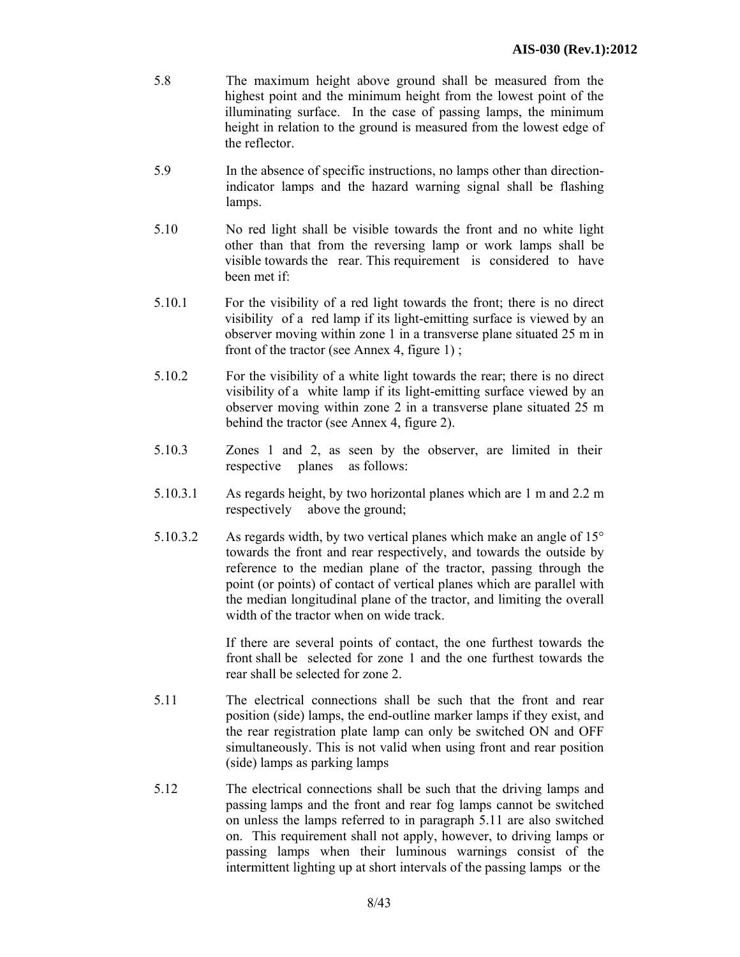- 5.8 The maximum height above ground shall be measured from the highest point and the minimum height from the lowest point of the illuminating surface. In the case of passing lamps, the minimum height in relation to the ground is measured from the lowest edge of the reflector.
- 5.9 In the absence of specific instructions, no lamps other than directionindicator lamps and the hazard warning signal shall be flashing lamps.
- 5.10 No red light shall be visible towards the front and no white light other than that from the reversing lamp or work lamps shall be visible towards the rear. This requirement is considered to have been met if:
- 5.10.1 For the visibility of a red light towards the front; there is no direct visibility of a red lamp if its light-emitting surface is viewed by an observer moving within zone 1 in a transverse plane situated 25 m in front of the tractor (see Annex 4, figure 1) ;
- 5.10.2 For the visibility of a white light towards the rear; there is no direct visibility of a white lamp if its light-emitting surface viewed by an observer moving within zone 2 in a transverse plane situated 25 m behind the tractor (see Annex 4, figure 2).
- 5.10.3 Zones 1 and 2, as seen by the observer, are limited in their respective planes as follows:
- 5.10.3.1 As regards height, by two horizontal planes which are 1 m and 2.2 m respectively above the ground;
- 5.10.3.2 As regards width, by two vertical planes which make an angle of 15° towards the front and rear respectively, and towards the outside by reference to the median plane of the tractor, passing through the point (or points) of contact of vertical planes which are parallel with the median longitudinal plane of the tractor, and limiting the overall width of the tractor when on wide track.

If there are several points of contact, the one furthest towards the front shall be selected for zone 1 and the one furthest towards the rear shall be selected for zone 2.

- 5.11 The electrical connections shall be such that the front and rear position (side) lamps, the end-outline marker lamps if they exist, and the rear registration plate lamp can only be switched ON and OFF simultaneously. This is not valid when using front and rear position (side) lamps as parking lamps
- 5.12 The electrical connections shall be such that the driving lamps and passing lamps and the front and rear fog lamps cannot be switched on unless the lamps referred to in paragraph 5.11 are also switched on. This requirement shall not apply, however, to driving lamps or passing lamps when their luminous warnings consist of the intermittent lighting up at short intervals of the passing lamps or the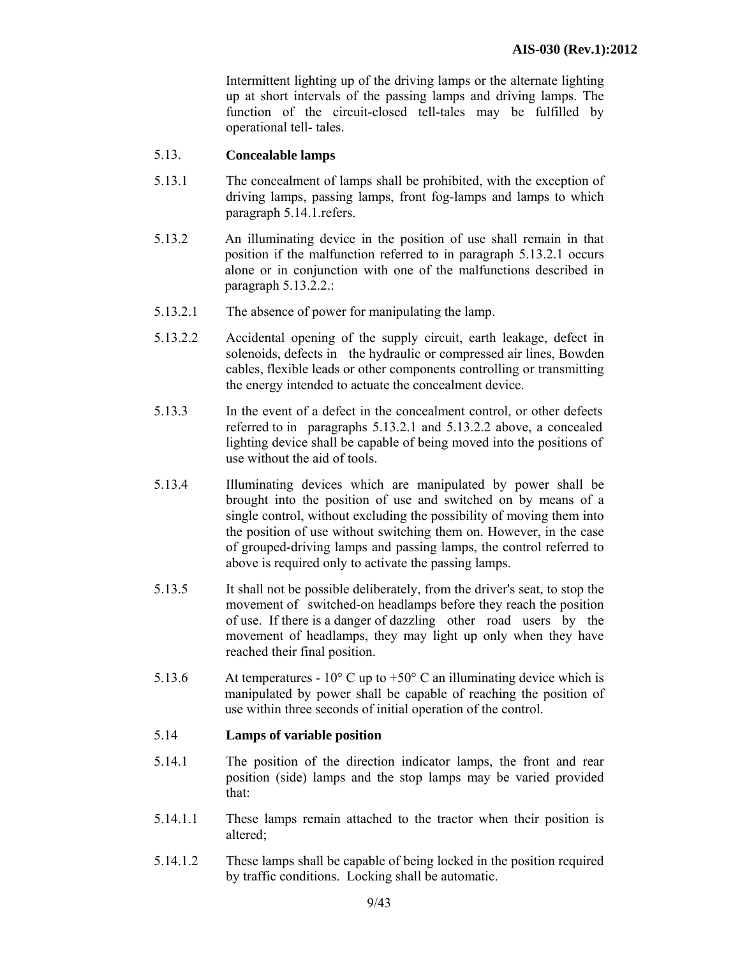Intermittent lighting up of the driving lamps or the alternate lighting up at short intervals of the passing lamps and driving lamps. The function of the circuit-closed tell-tales may be fulfilled by operational tell- tales.

#### 5.13. **Concealable lamps**

- 5.13.1 The concealment of lamps shall be prohibited, with the exception of driving lamps, passing lamps, front fog-lamps and lamps to which paragraph 5.14.1.refers.
- 5.13.2 An illuminating device in the position of use shall remain in that position if the malfunction referred to in paragraph 5.13.2.1 occurs alone or in conjunction with one of the malfunctions described in paragraph 5.13.2.2.:
- 5.13.2.1 The absence of power for manipulating the lamp.
- 5.13.2.2 Accidental opening of the supply circuit, earth leakage, defect in solenoids, defects in the hydraulic or compressed air lines, Bowden cables, flexible leads or other components controlling or transmitting the energy intended to actuate the concealment device.
- 5.13.3 In the event of a defect in the concealment control, or other defects referred to in paragraphs 5.13.2.1 and 5.13.2.2 above, a concealed lighting device shall be capable of being moved into the positions of use without the aid of tools.
- 5.13.4 Illuminating devices which are manipulated by power shall be brought into the position of use and switched on by means of a single control, without excluding the possibility of moving them into the position of use without switching them on. However, in the case of grouped-driving lamps and passing lamps, the control referred to above is required only to activate the passing lamps.
- 5.13.5 It shall not be possible deliberately, from the driver's seat, to stop the movement of switched-on headlamps before they reach the position of use. If there is a danger of dazzling other road users by the movement of headlamps, they may light up only when they have reached their final position.
- 5.13.6 At temperatures  $10^{\circ}$  C up to  $+50^{\circ}$  C an illuminating device which is manipulated by power shall be capable of reaching the position of use within three seconds of initial operation of the control.

#### 5.14 **Lamps of variable position**

- 5.14.1 The position of the direction indicator lamps, the front and rear position (side) lamps and the stop lamps may be varied provided that:
- 5.14.1.1 These lamps remain attached to the tractor when their position is altered;
- 5.14.1.2 These lamps shall be capable of being locked in the position required by traffic conditions. Locking shall be automatic.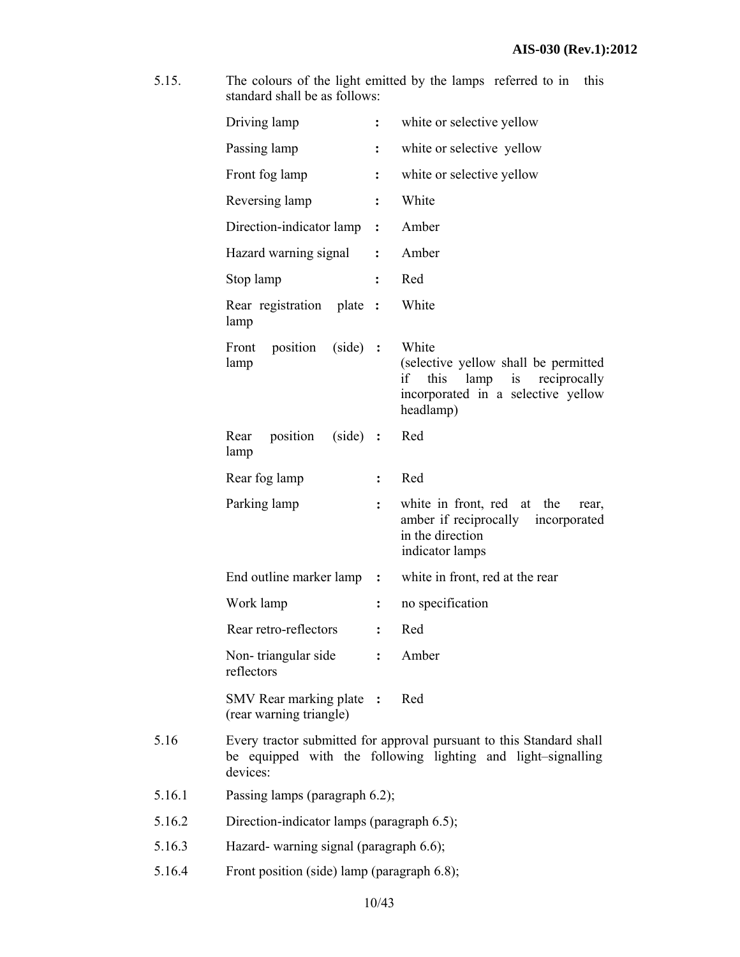5.15. The colours of the light emitted by the lamps referred to in this standard shall be as follows:

|        | Driving lamp                                                                                                                                     | $\ddot{\cdot}$ | white or selective yellow                                                                                                                 |
|--------|--------------------------------------------------------------------------------------------------------------------------------------------------|----------------|-------------------------------------------------------------------------------------------------------------------------------------------|
|        | Passing lamp                                                                                                                                     | $\ddot{\cdot}$ | white or selective yellow                                                                                                                 |
|        | Front fog lamp                                                                                                                                   | $\ddot{\cdot}$ | white or selective yellow                                                                                                                 |
|        | Reversing lamp                                                                                                                                   | $\ddot{\cdot}$ | White                                                                                                                                     |
|        | Direction-indicator lamp                                                                                                                         | $\ddot{\cdot}$ | Amber                                                                                                                                     |
|        | Hazard warning signal                                                                                                                            | $\ddot{\cdot}$ | Amber                                                                                                                                     |
|        | Stop lamp                                                                                                                                        | $\ddot{\cdot}$ | Red                                                                                                                                       |
|        | Rear registration<br>plate<br>lamp                                                                                                               | $\ddot{\cdot}$ | White                                                                                                                                     |
|        | position<br>$(side)$ :<br>Front<br>lamp                                                                                                          |                | White<br>(selective yellow shall be permitted<br>if<br>this<br>lamp<br>is reciprocally<br>incorporated in a selective yellow<br>headlamp) |
|        | position<br>$(side)$ :<br>Rear<br>lamp                                                                                                           |                | Red                                                                                                                                       |
|        | Rear fog lamp                                                                                                                                    | :              | Red                                                                                                                                       |
|        | Parking lamp                                                                                                                                     | $\ddot{\cdot}$ | white in front, red at the<br>rear,<br>amber if reciprocally<br>incorporated<br>in the direction<br>indicator lamps                       |
|        | End outline marker lamp :                                                                                                                        |                | white in front, red at the rear                                                                                                           |
|        | Work lamp                                                                                                                                        | $\ddot{\cdot}$ | no specification                                                                                                                          |
|        | Rear retro-reflectors                                                                                                                            | $\ddot{\cdot}$ | Red                                                                                                                                       |
|        | Non-triangular side<br>reflectors                                                                                                                | $\ddot{\cdot}$ | Amber                                                                                                                                     |
|        | SMV Rear marking plate :<br>(rear warning triangle)                                                                                              |                | Red                                                                                                                                       |
| 5.16   | Every tractor submitted for approval pursuant to this Standard shall<br>be equipped with the following lighting and light-signalling<br>devices: |                |                                                                                                                                           |
| 5.16.1 | Passing lamps (paragraph 6.2);                                                                                                                   |                |                                                                                                                                           |
| 5.16.2 | Direction-indicator lamps (paragraph 6.5);                                                                                                       |                |                                                                                                                                           |
| 5.16.3 | Hazard- warning signal (paragraph 6.6);                                                                                                          |                |                                                                                                                                           |
| 5.16.4 | Front position (side) lamp (paragraph 6.8);                                                                                                      |                |                                                                                                                                           |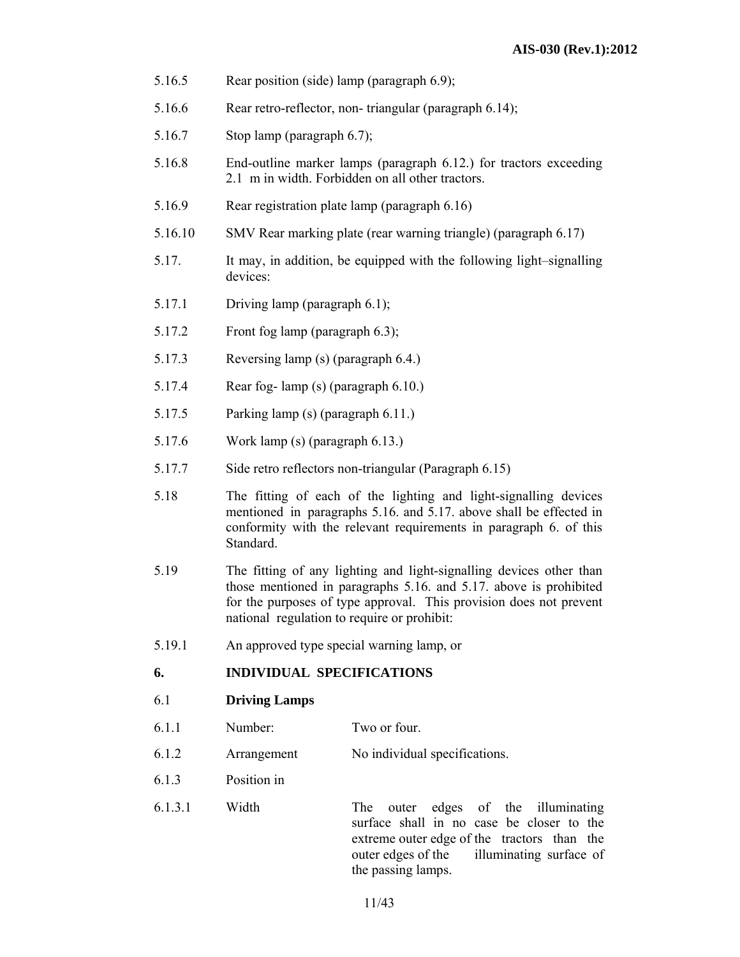- 5.16.5 Rear position (side) lamp (paragraph 6.9);
- 5.16.6 Rear retro-reflector, non- triangular (paragraph 6.14);
- 5.16.7 Stop lamp (paragraph 6.7);
- 5.16.8 End-outline marker lamps (paragraph 6.12.) for tractors exceeding 2.1 m in width. Forbidden on all other tractors.
- 5.16.9 Rear registration plate lamp (paragraph 6.16)
- 5.16.10 SMV Rear marking plate (rear warning triangle) (paragraph 6.17)
- 5.17. It may, in addition, be equipped with the following light–signalling devices:
- 5.17.1 Driving lamp (paragraph 6.1);
- 5.17.2 Front fog lamp (paragraph 6.3);
- 5.17.3 Reversing lamp (s) (paragraph 6.4.)
- 5.17.4 Rear fog- lamp (s) (paragraph 6.10.)
- 5.17.5 Parking lamp (s) (paragraph 6.11.)
- 5.17.6 Work lamp (s) (paragraph 6.13.)
- 5.17.7 Side retro reflectors non-triangular (Paragraph 6.15)
- 5.18 The fitting of each of the lighting and light-signalling devices mentioned in paragraphs 5.16. and 5.17. above shall be effected in conformity with the relevant requirements in paragraph 6. of this Standard.
- 5.19 The fitting of any lighting and light-signalling devices other than those mentioned in paragraphs 5.16. and 5.17. above is prohibited for the purposes of type approval. This provision does not prevent national regulation to require or prohibit:
- 5.19.1 An approved type special warning lamp, or

#### **6. INDIVIDUAL SPECIFICATIONS**

# 6.1 **Driving Lamps**

- 6.1.1 Number: Two or four.
- 6.1.2 Arrangement No individual specifications.
- 6.1.3 Position in
- 6.1.3.1 Width The outer edges of the illuminating surface shall in no case be closer to the extreme outer edge of the tractors than the outer edges of the illuminating surface of the passing lamps.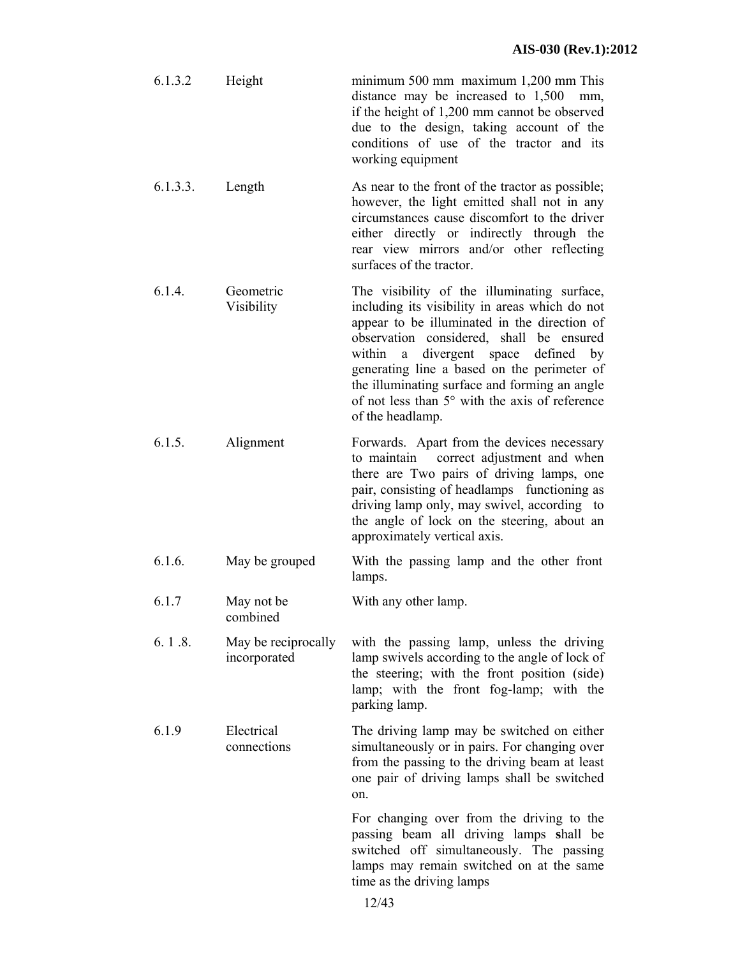| 6.1.3.2  | Height | minimum $500$ mm maximum $1,200$ mm This<br>distance may be increased to $1,500$ mm,<br>if the height of 1,200 mm cannot be observed<br>due to the design, taking account of the<br>conditions of use of the tractor and its<br>working equipment |
|----------|--------|---------------------------------------------------------------------------------------------------------------------------------------------------------------------------------------------------------------------------------------------------|
| 6.1.3.3. | Length | As near to the front of the tractor as possible;                                                                                                                                                                                                  |

however, the light emitted shall not in any circumstances cause discomfort to the driver either directly or indirectly through the rear view mirrors and/or other reflecting surfaces of the tractor.

6.1.4. Geometric Visibility The visibility of the illuminating surface, including its visibility in areas which do not appear to be illuminated in the direction of observation considered, shall be ensured within a divergent space defined by generating line a based on the perimeter of the illuminating surface and forming an angle of not less than 5° with the axis of reference of the headlamp.

6.1.5. Alignment Forwards. Apart from the devices necessary to maintain correct adjustment and when there are Two pairs of driving lamps, one pair, consisting of headlamps functioning as driving lamp only, may swivel, according to the angle of lock on the steering, about an approximately vertical axis.

- 6.1.6. May be grouped With the passing lamp and the other front lamps.
- 6.1.7 May not be combined With any other lamp.
- 6. 1 .8. May be reciprocally incorporated with the passing lamp, unless the driving lamp swivels according to the angle of lock of the steering; with the front position (side) lamp; with the front fog-lamp; with the parking lamp.

6.1.9 Electrical connections The driving lamp may be switched on either simultaneously or in pairs. For changing over from the passing to the driving beam at least one pair of driving lamps shall be switched on.

> For changing over from the driving to the passing beam all driving lamps **s**hall be switched off simultaneously. The passing lamps may remain switched on at the same time as the driving lamps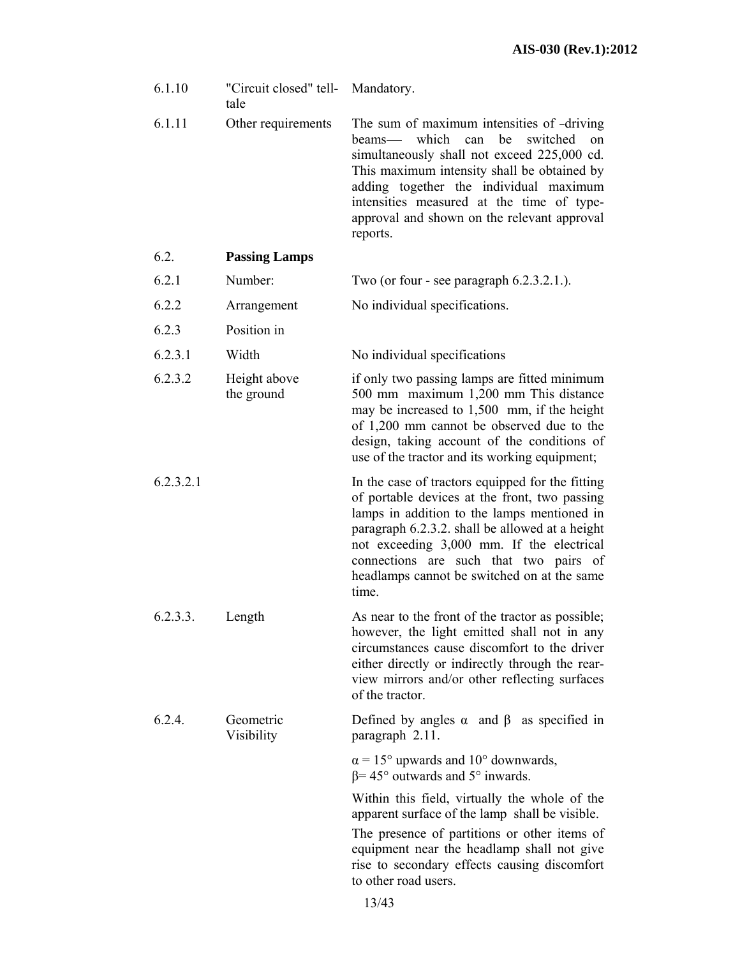| 6.1.10    | "Circuit closed" tell-<br>tale | Mandatory.                                                                                                                                                                                                                                                                                                                                         |
|-----------|--------------------------------|----------------------------------------------------------------------------------------------------------------------------------------------------------------------------------------------------------------------------------------------------------------------------------------------------------------------------------------------------|
| 6.1.11    | Other requirements             | The sum of maximum intensities of -driving<br>beams—<br>which<br>can<br>be<br>switched<br>on<br>simultaneously shall not exceed 225,000 cd.<br>This maximum intensity shall be obtained by<br>adding together the individual maximum<br>intensities measured at the time of type-<br>approval and shown on the relevant approval<br>reports.       |
| 6.2.      | <b>Passing Lamps</b>           |                                                                                                                                                                                                                                                                                                                                                    |
| 6.2.1     | Number:                        | Two (or four - see paragraph $6.2.3.2.1$ .).                                                                                                                                                                                                                                                                                                       |
| 6.2.2     | Arrangement                    | No individual specifications.                                                                                                                                                                                                                                                                                                                      |
| 6.2.3     | Position in                    |                                                                                                                                                                                                                                                                                                                                                    |
| 6.2.3.1   | Width                          | No individual specifications                                                                                                                                                                                                                                                                                                                       |
| 6.2.3.2   | Height above<br>the ground     | if only two passing lamps are fitted minimum<br>500 mm maximum 1,200 mm This distance<br>may be increased to 1,500 mm, if the height<br>of 1,200 mm cannot be observed due to the<br>design, taking account of the conditions of<br>use of the tractor and its working equipment;                                                                  |
| 6.2.3.2.1 |                                | In the case of tractors equipped for the fitting<br>of portable devices at the front, two passing<br>lamps in addition to the lamps mentioned in<br>paragraph 6.2.3.2. shall be allowed at a height<br>not exceeding 3,000 mm. If the electrical<br>connections are such that two pairs of<br>headlamps cannot be switched on at the same<br>time. |
| 6.2.3.3.  | Length                         | As near to the front of the tractor as possible;<br>however, the light emitted shall not in any<br>circumstances cause discomfort to the driver<br>either directly or indirectly through the rear-<br>view mirrors and/or other reflecting surfaces<br>of the tractor.                                                                             |
| 6.2.4.    | Geometric<br>Visibility        | Defined by angles $\alpha$ and $\beta$ as specified in<br>paragraph 2.11.                                                                                                                                                                                                                                                                          |
|           |                                | $\alpha$ = 15° upwards and 10° downwards,<br>$\beta$ = 45° outwards and 5° inwards.                                                                                                                                                                                                                                                                |
|           |                                | Within this field, virtually the whole of the<br>apparent surface of the lamp shall be visible.<br>The presence of partitions or other items of<br>equipment near the headlamp shall not give<br>rise to secondary effects causing discomfort<br>to other road users.                                                                              |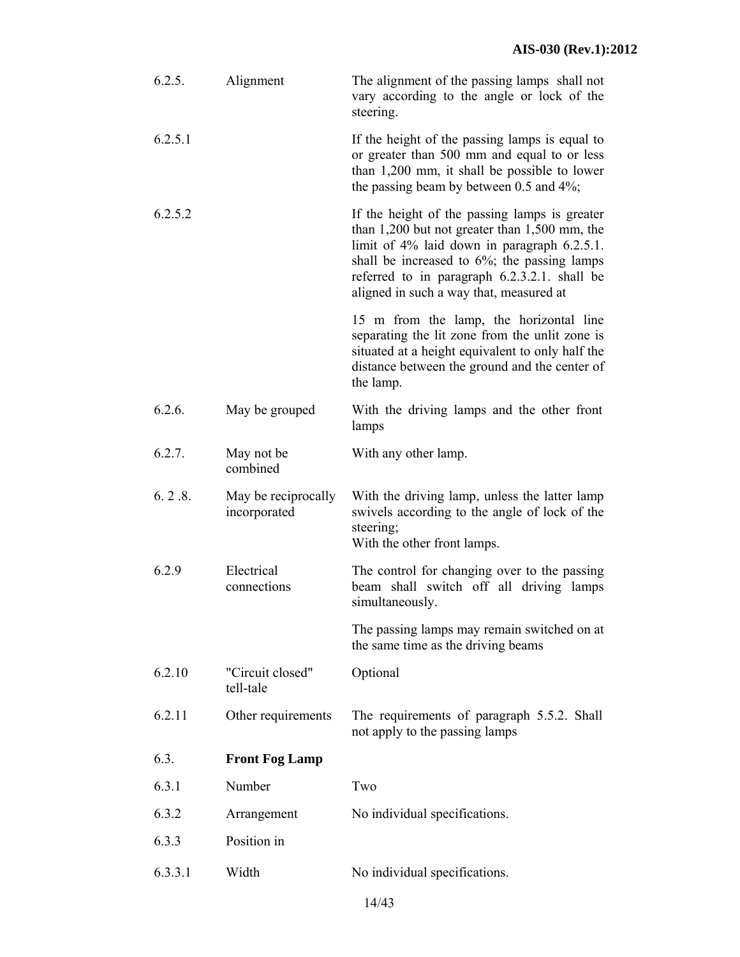| 6.2.5.  | Alignment                           | The alignment of the passing lamps shall not<br>vary according to the angle or lock of the<br>steering.                                                                                                                                                                                               |
|---------|-------------------------------------|-------------------------------------------------------------------------------------------------------------------------------------------------------------------------------------------------------------------------------------------------------------------------------------------------------|
| 6.2.5.1 |                                     | If the height of the passing lamps is equal to<br>or greater than 500 mm and equal to or less<br>than 1,200 mm, it shall be possible to lower<br>the passing beam by between 0.5 and $4\%$ ;                                                                                                          |
| 6.2.5.2 |                                     | If the height of the passing lamps is greater<br>than $1,200$ but not greater than $1,500$ mm, the<br>limit of $4\%$ laid down in paragraph $6.2.5.1$ .<br>shall be increased to $6\%$ ; the passing lamps<br>referred to in paragraph 6.2.3.2.1. shall be<br>aligned in such a way that, measured at |
|         |                                     | 15 m from the lamp, the horizontal line<br>separating the lit zone from the unlit zone is<br>situated at a height equivalent to only half the<br>distance between the ground and the center of<br>the lamp.                                                                                           |
| 6.2.6.  | May be grouped                      | With the driving lamps and the other front<br>lamps                                                                                                                                                                                                                                                   |
| 6.2.7.  | May not be<br>combined              | With any other lamp.                                                                                                                                                                                                                                                                                  |
| 6.2.8.  | May be reciprocally<br>incorporated | With the driving lamp, unless the latter lamp<br>swivels according to the angle of lock of the<br>steering;<br>With the other front lamps.                                                                                                                                                            |
| 6.2.9   | Electrical<br>connections           | The control for changing over to the passing<br>beam shall switch off all driving lamps<br>simultaneously.                                                                                                                                                                                            |
|         |                                     | The passing lamps may remain switched on at<br>the same time as the driving beams                                                                                                                                                                                                                     |
| 6.2.10  | "Circuit closed"<br>tell-tale       | Optional                                                                                                                                                                                                                                                                                              |
| 6.2.11  | Other requirements                  | The requirements of paragraph 5.5.2. Shall<br>not apply to the passing lamps                                                                                                                                                                                                                          |
| 6.3.    | <b>Front Fog Lamp</b>               |                                                                                                                                                                                                                                                                                                       |
| 6.3.1   | Number                              | Two                                                                                                                                                                                                                                                                                                   |
| 6.3.2   | Arrangement                         | No individual specifications.                                                                                                                                                                                                                                                                         |
| 6.3.3   | Position in                         |                                                                                                                                                                                                                                                                                                       |
| 6.3.3.1 | Width                               | No individual specifications.                                                                                                                                                                                                                                                                         |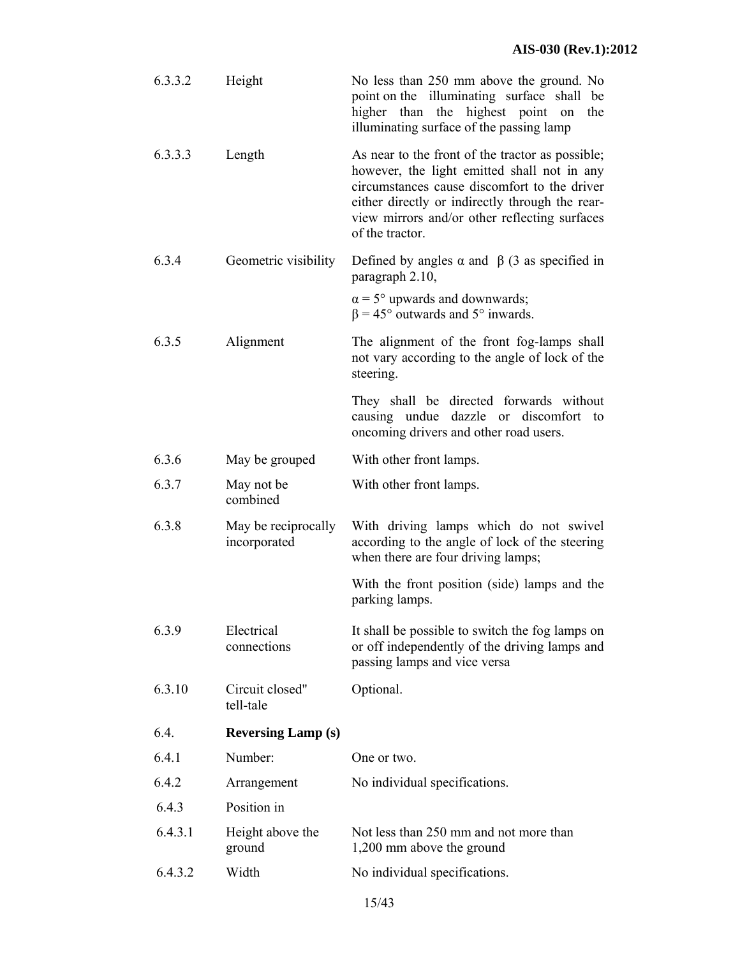| 6.3.3.2 | Height                              | No less than 250 mm above the ground. No<br>point on the illuminating surface shall be<br>higher than the highest point on<br>the<br>illuminating surface of the passing lamp                                                                                          |
|---------|-------------------------------------|------------------------------------------------------------------------------------------------------------------------------------------------------------------------------------------------------------------------------------------------------------------------|
| 6.3.3.3 | Length                              | As near to the front of the tractor as possible;<br>however, the light emitted shall not in any<br>circumstances cause discomfort to the driver<br>either directly or indirectly through the rear-<br>view mirrors and/or other reflecting surfaces<br>of the tractor. |
| 6.3.4   | Geometric visibility                | Defined by angles $\alpha$ and $\beta$ (3 as specified in<br>paragraph 2.10,                                                                                                                                                                                           |
|         |                                     | $\alpha$ = 5° upwards and downwards;<br>$\beta$ = 45° outwards and 5° inwards.                                                                                                                                                                                         |
| 6.3.5   | Alignment                           | The alignment of the front fog-lamps shall<br>not vary according to the angle of lock of the<br>steering.                                                                                                                                                              |
|         |                                     | They shall be directed forwards without<br>causing undue<br>dazzle or discomfort<br>to<br>oncoming drivers and other road users.                                                                                                                                       |
| 6.3.6   | May be grouped                      | With other front lamps.                                                                                                                                                                                                                                                |
| 6.3.7   | May not be<br>combined              | With other front lamps.                                                                                                                                                                                                                                                |
| 6.3.8   | May be reciprocally<br>incorporated | With driving lamps which do not swivel<br>according to the angle of lock of the steering<br>when there are four driving lamps;                                                                                                                                         |
|         |                                     | With the front position (side) lamps and the<br>parking lamps.                                                                                                                                                                                                         |
| 6.3.9   | Electrical<br>connections           | It shall be possible to switch the fog lamps on<br>or off independently of the driving lamps and<br>passing lamps and vice versa                                                                                                                                       |
| 6.3.10  | Circuit closed"<br>tell-tale        | Optional.                                                                                                                                                                                                                                                              |
| 6.4.    | <b>Reversing Lamp (s)</b>           |                                                                                                                                                                                                                                                                        |
| 6.4.1   | Number:                             | One or two.                                                                                                                                                                                                                                                            |
| 6.4.2   | Arrangement                         | No individual specifications.                                                                                                                                                                                                                                          |
| 6.4.3   |                                     |                                                                                                                                                                                                                                                                        |
|         | Position in                         |                                                                                                                                                                                                                                                                        |
| 6.4.3.1 | Height above the<br>ground          | Not less than 250 mm and not more than<br>1,200 mm above the ground                                                                                                                                                                                                    |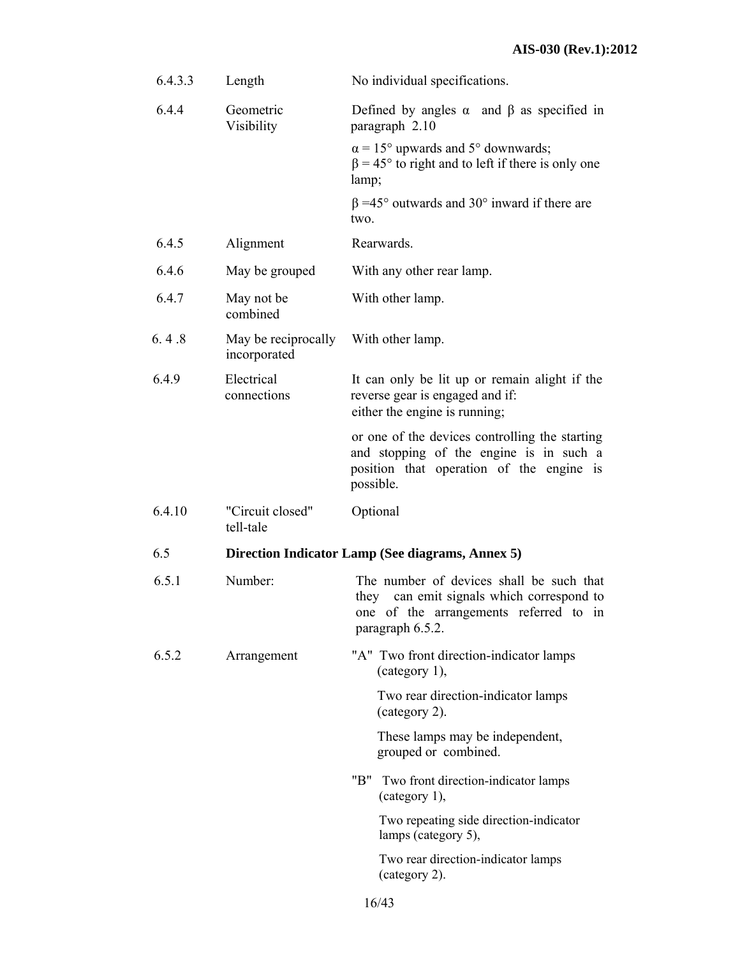| 6.4.3.3 | Length                              | No individual specifications.                                                                                                                       |
|---------|-------------------------------------|-----------------------------------------------------------------------------------------------------------------------------------------------------|
| 6.4.4   | Geometric<br>Visibility             | Defined by angles $\alpha$ and $\beta$ as specified in<br>paragraph 2.10                                                                            |
|         |                                     | $\alpha$ = 15° upwards and 5° downwards;<br>$\beta$ = 45° to right and to left if there is only one<br>lamp;                                        |
|         |                                     | $\beta$ =45° outwards and 30° inward if there are<br>two.                                                                                           |
| 6.4.5   | Alignment                           | Rearwards.                                                                                                                                          |
| 6.4.6   | May be grouped                      | With any other rear lamp.                                                                                                                           |
| 6.4.7   | May not be<br>combined              | With other lamp.                                                                                                                                    |
| 6.4.8   | May be reciprocally<br>incorporated | With other lamp.                                                                                                                                    |
| 6.4.9   | Electrical<br>connections           | It can only be lit up or remain alight if the<br>reverse gear is engaged and if.<br>either the engine is running;                                   |
|         |                                     | or one of the devices controlling the starting<br>and stopping of the engine is in such a<br>position that operation of the engine is<br>possible.  |
| 6.4.10  | "Circuit closed"<br>tell-tale       | Optional                                                                                                                                            |
| 6.5     |                                     | Direction Indicator Lamp (See diagrams, Annex 5)                                                                                                    |
| 6.5.1   | Number:                             | The number of devices shall be such that<br>they can emit signals which correspond to<br>one of the arrangements referred to in<br>paragraph 6.5.2. |
| 6.5.2   | Arrangement                         | "A" Two front direction-indicator lamps<br>$(category 1)$ ,                                                                                         |
|         |                                     | Two rear direction-indicator lamps<br>(category 2).                                                                                                 |
|         |                                     | These lamps may be independent,<br>grouped or combined.                                                                                             |
|         |                                     | "B"<br>Two front direction-indicator lamps<br>(category 1),                                                                                         |
|         |                                     | Two repeating side direction-indicator<br>lamps (category 5),                                                                                       |
|         |                                     | Two rear direction-indicator lamps<br>(category 2).                                                                                                 |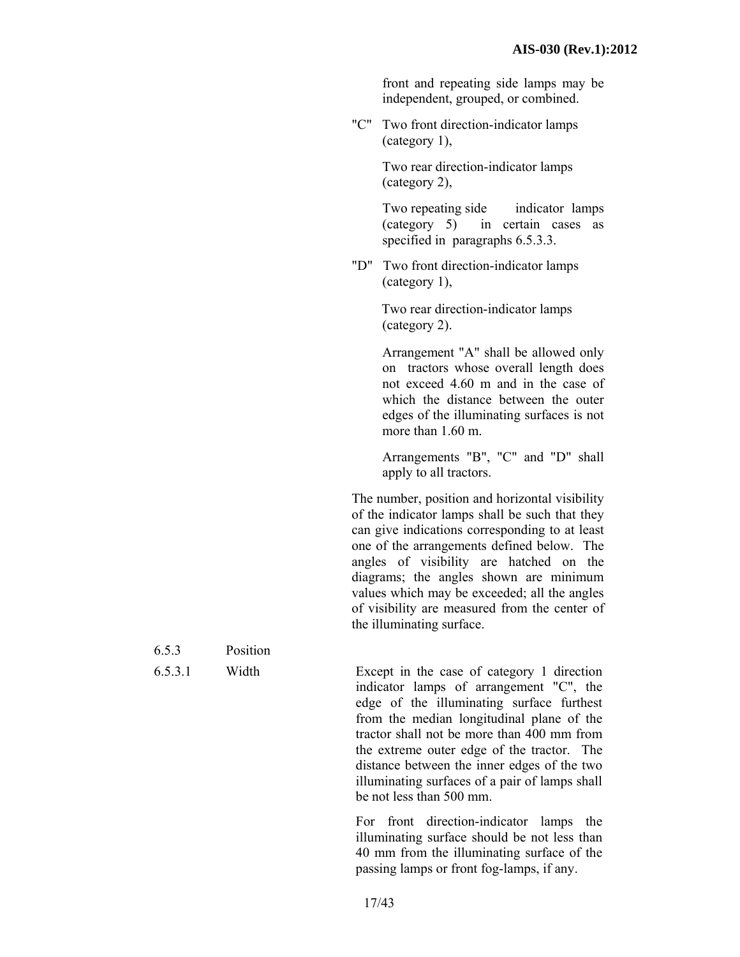front and repeating side lamps may be independent, grouped, or combined.

"C" Two front direction-indicator lamps (category 1),

> Two rear direction-indicator lamps (category 2),

Two repeating side indicator lamps (category 5) in certain cases as specified in paragraphs 6.5.3.3.

"D" Two front direction-indicator lamps (category 1),

> Two rear direction-indicator lamps (category 2).

Arrangement "A" shall be allowed only on tractors whose overall length does not exceed 4.60 m and in the case of which the distance between the outer edges of the illuminating surfaces is not more than 1.60 m.

Arrangements "B", "C" and "D" shall apply to all tractors.

The number, position and horizontal visibility of the indicator lamps shall be such that they can give indications corresponding to at least one of the arrangements defined below. The angles of visibility are hatched on the diagrams; the angles shown are minimum values which may be exceeded; all the angles of visibility are measured from the center of the illuminating surface.

6.5.3.1 Width Except in the case of category 1 direction indicator lamps of arrangement "C", the edge of the illuminating surface furthest from the median longitudinal plane of the tractor shall not be more than 400 mm from the extreme outer edge of the tractor. The distance between the inner edges of the two illuminating surfaces of a pair of lamps shall be not less than 500 mm.

> For front direction-indicator lamps the illuminating surface should be not less than 40 mm from the illuminating surface of the passing lamps or front fog-lamps, if any.

| 6.5.3           | Position       |
|-----------------|----------------|
| $\sim$ $\sim$ 1 | <b>TT7</b> 1.1 |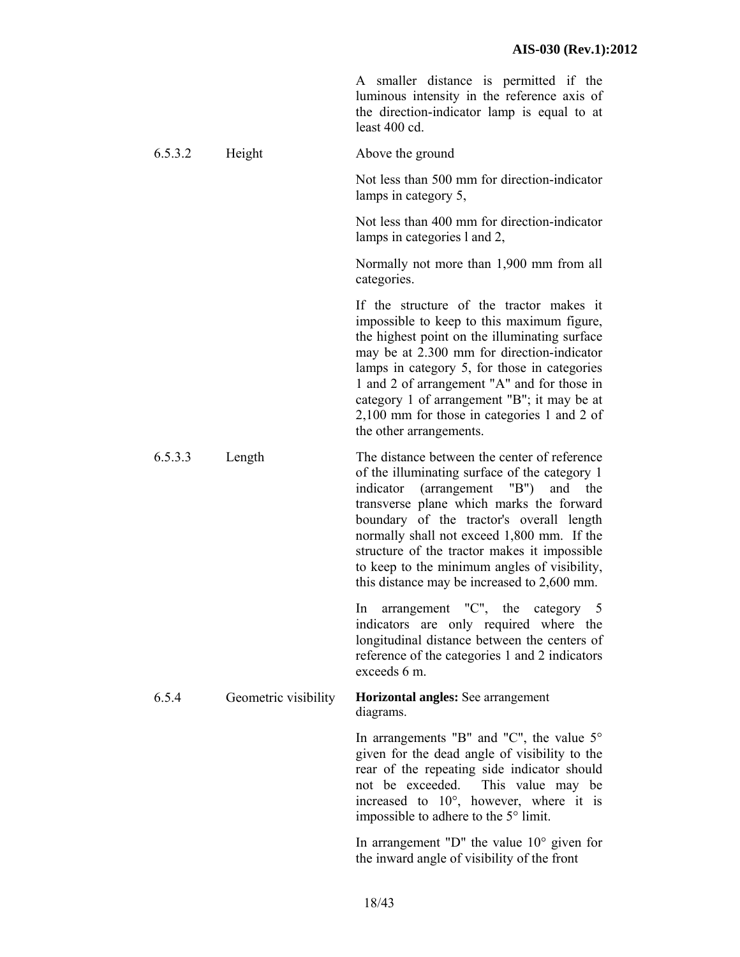A smaller distance is permitted if the luminous intensity in the reference axis of the direction-indicator lamp is equal to at least 400 cd.

6.5.3.2 Height Above the ground

Not less than 500 mm for direction-indicator lamps in category 5,

Not less than 400 mm for direction-indicator lamps in categories l and 2,

Normally not more than 1,900 mm from all categories.

If the structure of the tractor makes it impossible to keep to this maximum figure, the highest point on the illuminating surface may be at 2.300 mm for direction-indicator lamps in category 5, for those in categories 1 and 2 of arrangement "A" and for those in category 1 of arrangement "B"; it may be at 2,100 mm for those in categories 1 and 2 of the other arrangements.

6.5.3.3 Length The distance between the center of reference of the illuminating surface of the category 1 indicator (arrangement "B") and the transverse plane which marks the forward boundary of the tractor's overall length normally shall not exceed 1,800 mm. If the structure of the tractor makes it impossible to keep to the minimum angles of visibility, this distance may be increased to 2,600 mm.

> In arrangement "C", the category 5 indicators are only required where the longitudinal distance between the centers of reference of the categories 1 and 2 indicators exceeds 6 m.

#### 6.5.4 Geometric visibility **Horizontal angles:** See arrangement diagrams.

In arrangements "B" and "C", the value  $5^{\circ}$ given for the dead angle of visibility to the rear of the repeating side indicator should not be exceeded. This value may be increased to 10°, however, where it is impossible to adhere to the 5° limit.

In arrangement "D" the value 10° given for the inward angle of visibility of the front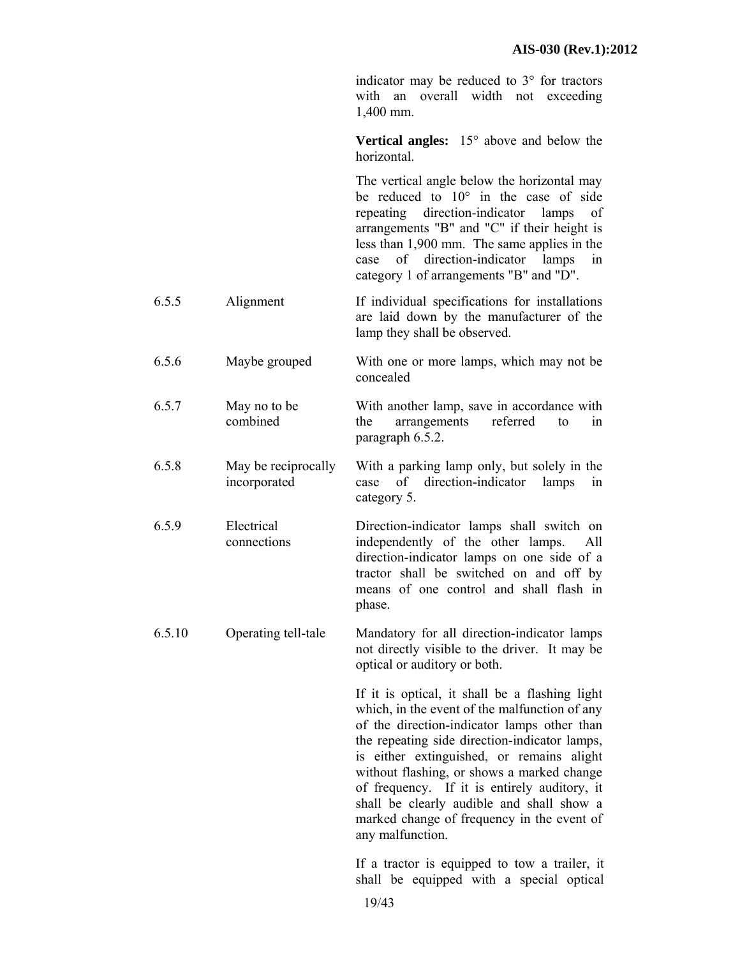indicator may be reduced to 3° for tractors with an overall width not exceeding 1,400 mm.

**Vertical angles:** 15° above and below the horizontal.

The vertical angle below the horizontal may be reduced to 10° in the case of side repeating direction-indicator lamps of arrangements "B" and "C" if their height is less than 1,900 mm. The same applies in the case of direction-indicator lamps in category 1 of arrangements "B" and "D".

- 6.5.5 Alignment If individual specifications for installations are laid down by the manufacturer of the lamp they shall be observed.
- 6.5.6 Maybe grouped With one or more lamps, which may not be concealed
- 6.5.7 May no to be combined With another lamp, save in accordance with the arrangements referred to in paragraph 6.5.2.
- 6.5.8 May be reciprocally incorporated With a parking lamp only, but solely in the case of direction-indicator lamps in category 5.
- 6.5.9 Electrical connections Direction-indicator lamps shall switch on independently of the other lamps. All direction-indicator lamps on one side of a tractor shall be switched on and off by means of one control and shall flash in phase.
- 6.5.10 Operating tell-tale Mandatory for all direction-indicator lamps not directly visible to the driver. It may be optical or auditory or both.

If it is optical, it shall be a flashing light which, in the event of the malfunction of any of the direction-indicator lamps other than the repeating side direction-indicator lamps, is either extinguished, or remains alight without flashing, or shows a marked change of frequency. If it is entirely auditory, it shall be clearly audible and shall show a marked change of frequency in the event of any malfunction.

If a tractor is equipped to tow a trailer, it shall be equipped with a special optical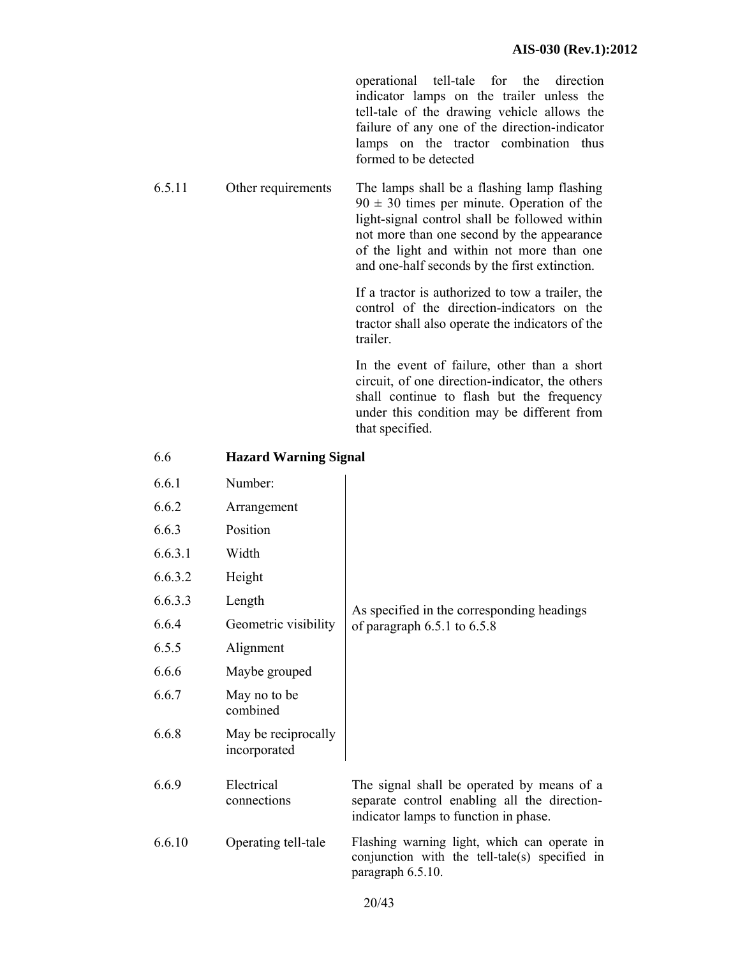operational tell-tale for the direction indicator lamps on the trailer unless the tell-tale of the drawing vehicle allows the failure of any one of the direction-indicator lamps on the tractor combination thus formed to be detected

6.5.11 Other requirements The lamps shall be a flashing lamp flashing  $90 \pm 30$  times per minute. Operation of the light-signal control shall be followed within not more than one second by the appearance of the light and within not more than one and one-half seconds by the first extinction.

> If a tractor is authorized to tow a trailer, the control of the direction-indicators on the tractor shall also operate the indicators of the trailer.

> In the event of failure, other than a short circuit, of one direction-indicator, the others shall continue to flash but the frequency under this condition may be different from that specified.

#### 6.6 **Hazard Warning Signal**

| 6.6.1   | Number:                             |                                                                                                                                     |
|---------|-------------------------------------|-------------------------------------------------------------------------------------------------------------------------------------|
| 6.6.2   | Arrangement                         |                                                                                                                                     |
| 6.6.3   | Position                            |                                                                                                                                     |
| 6.6.3.1 | Width                               |                                                                                                                                     |
| 6.6.3.2 | Height                              |                                                                                                                                     |
| 6.6.3.3 | Length                              | As specified in the corresponding headings                                                                                          |
| 6.6.4   | Geometric visibility                | of paragraph $6.5.1$ to $6.5.8$                                                                                                     |
| 6.5.5   | Alignment                           |                                                                                                                                     |
| 6.6.6   | Maybe grouped                       |                                                                                                                                     |
| 6.6.7   | May no to be<br>combined            |                                                                                                                                     |
| 6.6.8   | May be reciprocally<br>incorporated |                                                                                                                                     |
| 6.6.9   | Electrical<br>connections           | The signal shall be operated by means of a<br>separate control enabling all the direction-<br>indicator lamps to function in phase. |
| 6.6.10  | Operating tell-tale                 | Flashing warning light, which can operate in<br>conjunction with the tell-tale(s) specified in<br>paragraph 6.5.10.                 |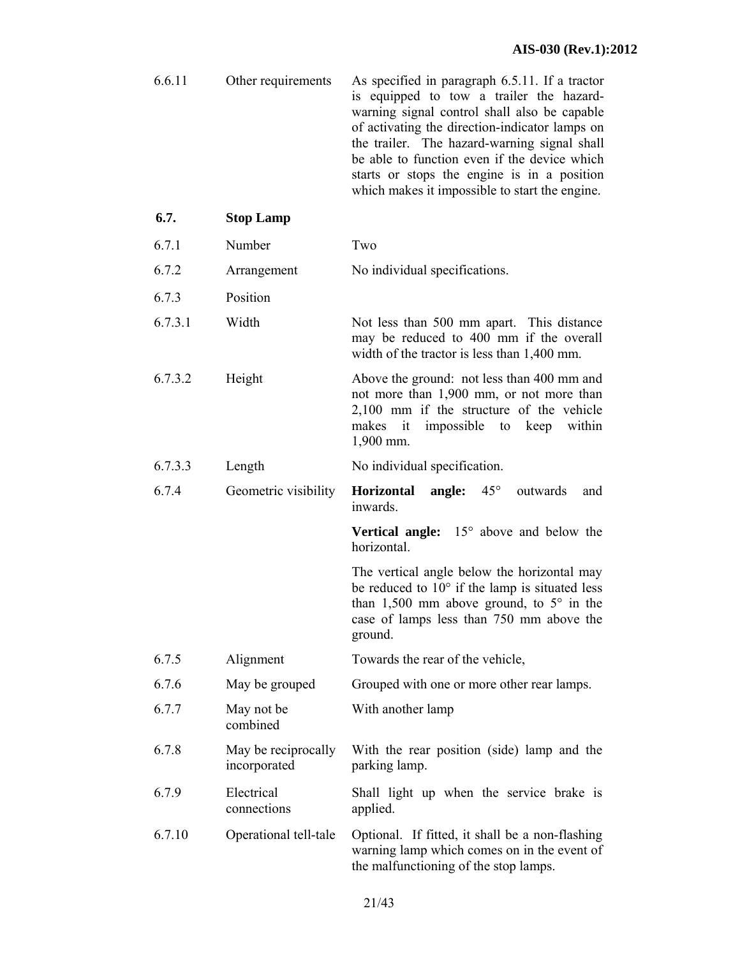| 6.6.11<br>Other requirements | As specified in paragraph 6.5.11. If a tractor<br>is equipped to tow a trailer the hazard-<br>warning signal control shall also be capable<br>of activating the direction-indicator lamps on<br>the trailer. The hazard-warning signal shall<br>be able to function even if the device which<br>starts or stops the engine is in a position<br>which makes it impossible to start the engine. |
|------------------------------|-----------------------------------------------------------------------------------------------------------------------------------------------------------------------------------------------------------------------------------------------------------------------------------------------------------------------------------------------------------------------------------------------|
|------------------------------|-----------------------------------------------------------------------------------------------------------------------------------------------------------------------------------------------------------------------------------------------------------------------------------------------------------------------------------------------------------------------------------------------|

- 6.7.1 Number Two
- 6.7.2 Arrangement No individual specifications.
- 6.7.3 Position
- 6.7.3.1 Width Not less than 500 mm apart. This distance may be reduced to 400 mm if the overall width of the tractor is less than 1,400 mm.
- 6.7.3.2 Height Above the ground: not less than 400 mm and not more than 1,900 mm, or not more than 2,100 mm if the structure of the vehicle makes it impossible to keep within 1,900 mm.
- 6.7.3.3 Length No individual specification.
- 6.7.4 Geometric visibility **Horizontal angle:** 45° outwards and inwards.

**Vertical angle:** 15° above and below the horizontal.

The vertical angle below the horizontal may be reduced to  $10^{\circ}$  if the lamp is situated less than 1,500 mm above ground, to  $5^\circ$  in the case of lamps less than 750 mm above the ground.

- 6.7.5 Alignment Towards the rear of the vehicle,
- 6.7.6 May be grouped Grouped with one or more other rear lamps.
- 6.7.7 May not be With another lamp

combined

- 6.7.8 May be reciprocally incorporated With the rear position (side) lamp and the parking lamp.
- 6.7.9 Electrical connections Shall light up when the service brake is applied.
- 6.7.10 Operational tell-tale Optional. If fitted, it shall be a non-flashing warning lamp which comes on in the event of the malfunctioning of the stop lamps.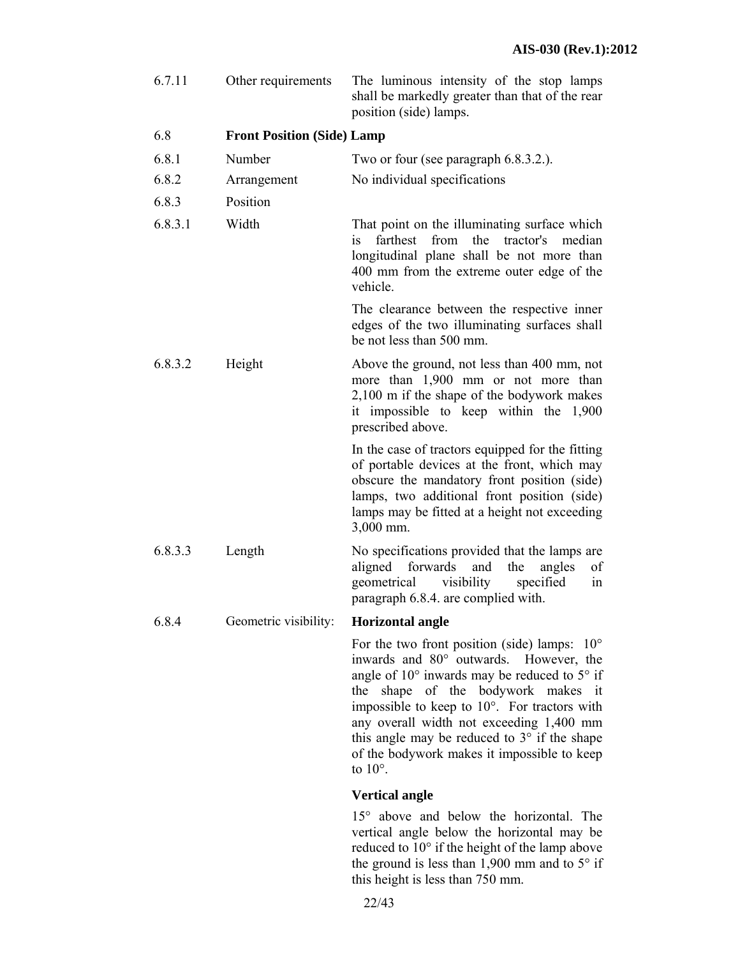| 6.7.11  | Other requirements                | The luminous intensity of the stop lamps<br>shall be markedly greater than that of the rear<br>position (side) lamps.                                                                                                                                                                                                                                                                                                    |
|---------|-----------------------------------|--------------------------------------------------------------------------------------------------------------------------------------------------------------------------------------------------------------------------------------------------------------------------------------------------------------------------------------------------------------------------------------------------------------------------|
| 6.8     | <b>Front Position (Side) Lamp</b> |                                                                                                                                                                                                                                                                                                                                                                                                                          |
| 6.8.1   | Number                            | Two or four (see paragraph 6.8.3.2.).                                                                                                                                                                                                                                                                                                                                                                                    |
| 6.8.2   | Arrangement                       | No individual specifications                                                                                                                                                                                                                                                                                                                                                                                             |
| 6.8.3   | Position                          |                                                                                                                                                                                                                                                                                                                                                                                                                          |
| 6.8.3.1 | Width                             | That point on the illuminating surface which<br>farthest from<br>the<br>tractor's<br>median<br>is<br>longitudinal plane shall be not more than<br>400 mm from the extreme outer edge of the<br>vehicle.                                                                                                                                                                                                                  |
|         |                                   | The clearance between the respective inner<br>edges of the two illuminating surfaces shall<br>be not less than 500 mm.                                                                                                                                                                                                                                                                                                   |
| 6.8.3.2 | Height                            | Above the ground, not less than 400 mm, not<br>more than 1,900 mm or not more than<br>2,100 m if the shape of the bodywork makes<br>it impossible to keep within the 1,900<br>prescribed above.                                                                                                                                                                                                                          |
|         |                                   | In the case of tractors equipped for the fitting<br>of portable devices at the front, which may<br>obscure the mandatory front position (side)<br>lamps, two additional front position (side)<br>lamps may be fitted at a height not exceeding<br>3,000 mm.                                                                                                                                                              |
| 6.8.3.3 | Length                            | No specifications provided that the lamps are<br>aligned<br>forwards<br>and<br>of<br>the<br>angles<br>specified<br>geometrical<br>visibility<br>in<br>paragraph 6.8.4. are complied with.                                                                                                                                                                                                                                |
| 6.8.4   | Geometric visibility:             | <b>Horizontal angle</b>                                                                                                                                                                                                                                                                                                                                                                                                  |
|         |                                   | For the two front position (side) lamps:<br>$10^{\circ}$<br>inwards and 80° outwards. However, the<br>angle of $10^{\circ}$ inwards may be reduced to $5^{\circ}$ if<br>the shape of the bodywork makes it<br>impossible to keep to 10°. For tractors with<br>any overall width not exceeding 1,400 mm<br>this angle may be reduced to 3° if the shape<br>of the bodywork makes it impossible to keep<br>to $10^\circ$ . |
|         |                                   | <b>Vertical angle</b>                                                                                                                                                                                                                                                                                                                                                                                                    |

15° above and below the horizontal. The vertical angle below the horizontal may be reduced to 10° if the height of the lamp above the ground is less than 1,900 mm and to  $5^{\circ}$  if this height is less than 750 mm.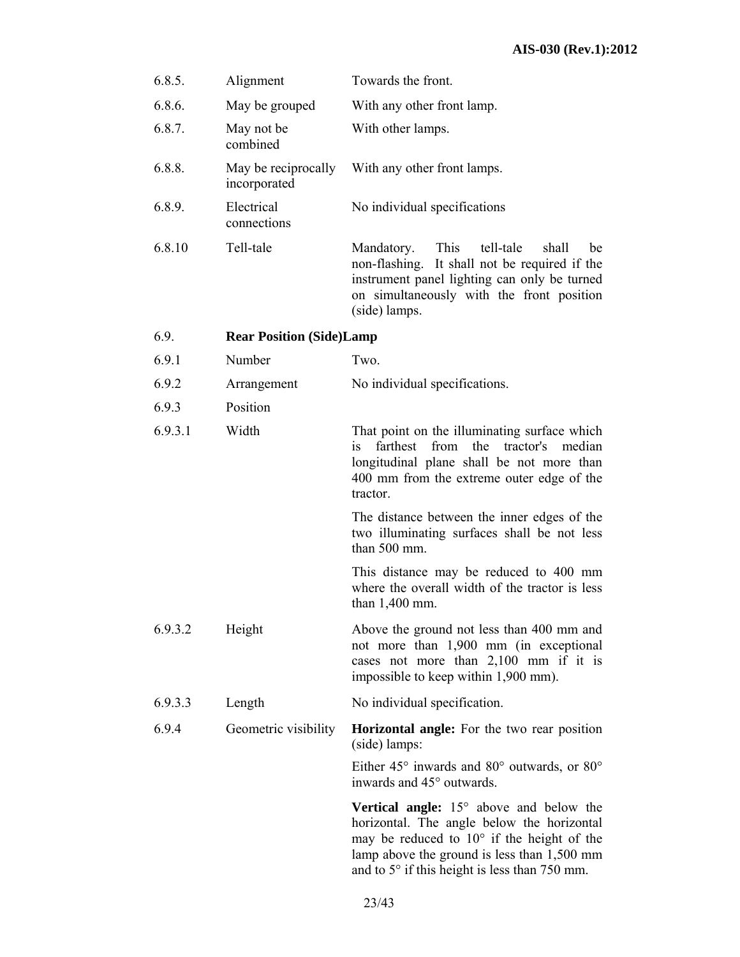| 6.8.5.  | Alignment                           | Towards the front.                                                                                                                                                                                                                                                    |
|---------|-------------------------------------|-----------------------------------------------------------------------------------------------------------------------------------------------------------------------------------------------------------------------------------------------------------------------|
| 6.8.6.  | May be grouped                      | With any other front lamp.                                                                                                                                                                                                                                            |
| 6.8.7.  | May not be<br>combined              | With other lamps.                                                                                                                                                                                                                                                     |
| 6.8.8.  | May be reciprocally<br>incorporated | With any other front lamps.                                                                                                                                                                                                                                           |
| 6.8.9.  | Electrical<br>connections           | No individual specifications                                                                                                                                                                                                                                          |
| 6.8.10  | Tell-tale                           | This<br>Mandatory.<br>tell-tale<br>be<br>shall<br>non-flashing.<br>It shall not be required if the<br>instrument panel lighting can only be turned<br>on simultaneously with the front position<br>(side) lamps.                                                      |
| 6.9.    | <b>Rear Position (Side)Lamp</b>     |                                                                                                                                                                                                                                                                       |
| 6.9.1   | Number                              | Two.                                                                                                                                                                                                                                                                  |
| 6.9.2   | Arrangement                         | No individual specifications.                                                                                                                                                                                                                                         |
| 6.9.3   | Position                            |                                                                                                                                                                                                                                                                       |
| 6.9.3.1 | Width                               | That point on the illuminating surface which<br>median<br>farthest<br>from<br>the<br>tractor's<br>1S<br>longitudinal plane shall be not more than<br>400 mm from the extreme outer edge of the<br>tractor.                                                            |
|         |                                     | The distance between the inner edges of the<br>two illuminating surfaces shall be not less<br>than 500 mm.                                                                                                                                                            |
|         |                                     | This distance may be reduced to 400 mm<br>where the overall width of the tractor is less<br>than $1,400$ mm.                                                                                                                                                          |
| 6.9.3.2 | Height                              | Above the ground not less than 400 mm and<br>not more than 1,900 mm (in exceptional<br>cases not more than 2,100 mm if it is<br>impossible to keep within 1,900 mm).                                                                                                  |
| 6.9.3.3 | Length                              | No individual specification.                                                                                                                                                                                                                                          |
| 6.9.4   | Geometric visibility                | <b>Horizontal angle:</b> For the two rear position<br>(side) lamps:                                                                                                                                                                                                   |
|         |                                     | Either $45^{\circ}$ inwards and $80^{\circ}$ outwards, or $80^{\circ}$<br>inwards and 45° outwards.                                                                                                                                                                   |
|         |                                     | <b>Vertical angle:</b> $15^\circ$ above and below the<br>horizontal. The angle below the horizontal<br>may be reduced to $10^{\circ}$ if the height of the<br>lamp above the ground is less than $1,500$ mm<br>and to $5^{\circ}$ if this height is less than 750 mm. |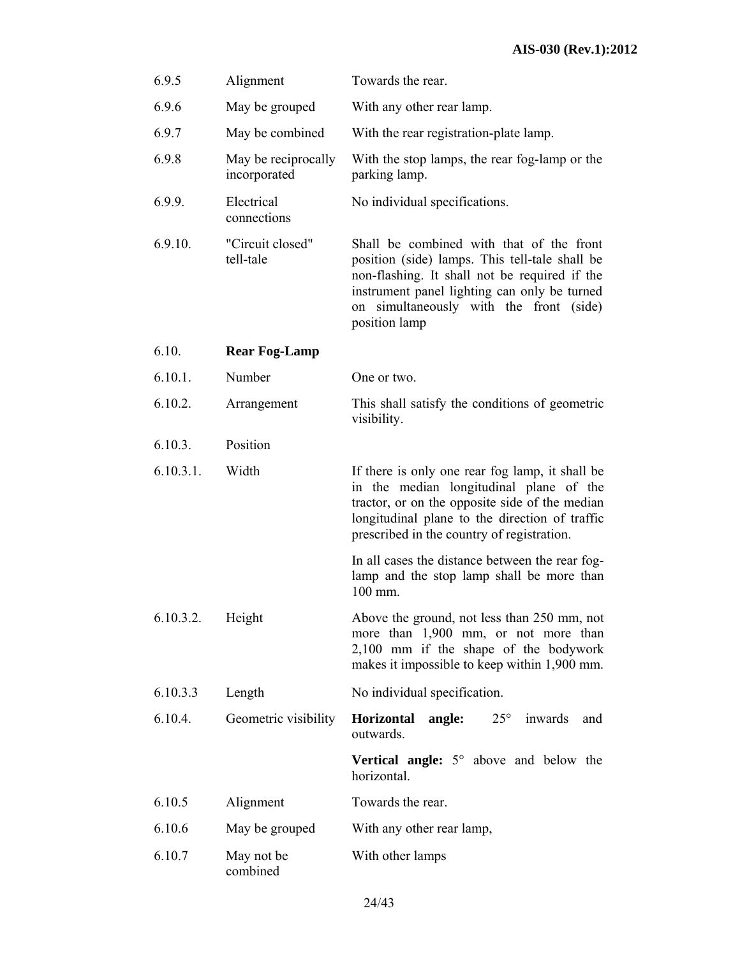# **AIS-030 (Rev.1):2012**

| 6.9.5     | Alignment                           | Towards the rear.                                                                                                                                                                                                                                       |
|-----------|-------------------------------------|---------------------------------------------------------------------------------------------------------------------------------------------------------------------------------------------------------------------------------------------------------|
| 6.9.6     | May be grouped                      | With any other rear lamp.                                                                                                                                                                                                                               |
| 6.9.7     | May be combined                     | With the rear registration-plate lamp.                                                                                                                                                                                                                  |
| 6.9.8     | May be reciprocally<br>incorporated | With the stop lamps, the rear fog-lamp or the<br>parking lamp.                                                                                                                                                                                          |
| 6.9.9.    | Electrical<br>connections           | No individual specifications.                                                                                                                                                                                                                           |
| 6.9.10.   | "Circuit closed"<br>tell-tale       | Shall be combined with that of the front<br>position (side) lamps. This tell-tale shall be<br>non-flashing. It shall not be required if the<br>instrument panel lighting can only be turned<br>on simultaneously with the front (side)<br>position lamp |
| 6.10.     | <b>Rear Fog-Lamp</b>                |                                                                                                                                                                                                                                                         |
| 6.10.1.   | Number                              | One or two.                                                                                                                                                                                                                                             |
| 6.10.2.   | Arrangement                         | This shall satisfy the conditions of geometric<br>visibility.                                                                                                                                                                                           |
| 6.10.3.   | Position                            |                                                                                                                                                                                                                                                         |
| 6.10.3.1. | Width                               | If there is only one rear fog lamp, it shall be<br>in the median longitudinal plane of the<br>tractor, or on the opposite side of the median<br>longitudinal plane to the direction of traffic<br>prescribed in the country of registration.            |
|           |                                     | In all cases the distance between the rear fog-<br>lamp and the stop lamp shall be more than<br>100 mm.                                                                                                                                                 |
| 6.10.3.2. | Height                              | Above the ground, not less than 250 mm, not<br>more than 1,900 mm, or not more than<br>2,100 mm if the shape of the bodywork<br>makes it impossible to keep within 1,900 mm.                                                                            |
| 6.10.3.3  | Length                              | No individual specification.                                                                                                                                                                                                                            |
| 6.10.4.   | Geometric visibility                | $25^{\circ}$<br>inwards<br>Horizontal<br>angle:<br>and<br>outwards.                                                                                                                                                                                     |
|           |                                     | <b>Vertical angle:</b> $5^\circ$ above and below the<br>horizontal.                                                                                                                                                                                     |
| 6.10.5    | Alignment                           | Towards the rear.                                                                                                                                                                                                                                       |
| 6.10.6    | May be grouped                      | With any other rear lamp,                                                                                                                                                                                                                               |
| 6.10.7    | May not be<br>combined              | With other lamps                                                                                                                                                                                                                                        |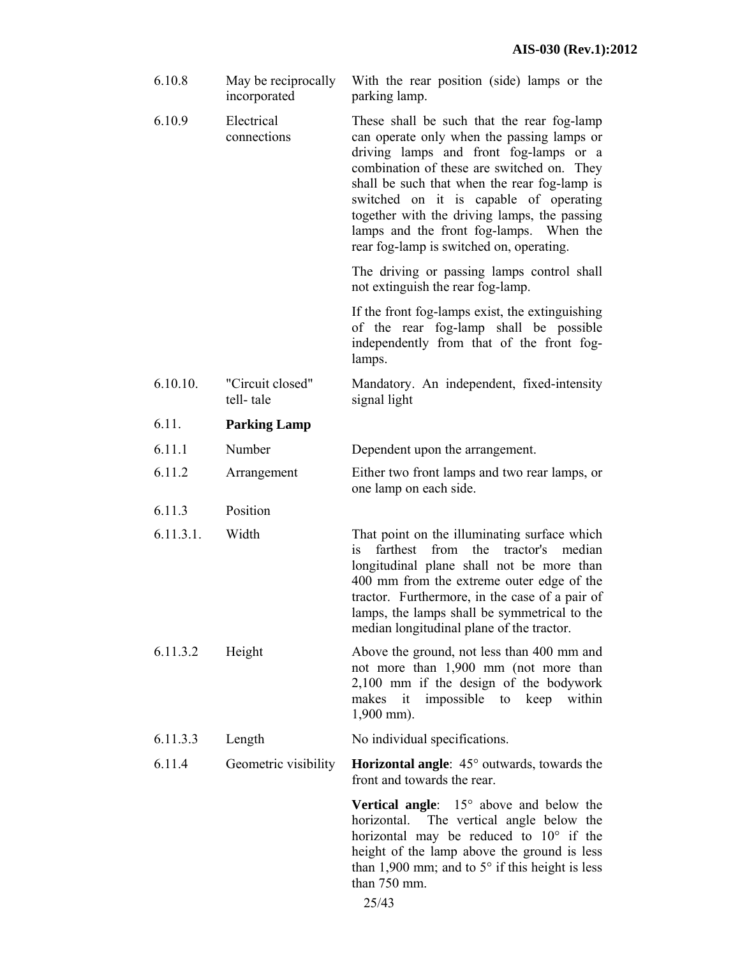| 6.10.8    | May be reciprocally<br>incorporated | With the rear position (side) lamps or the<br>parking lamp.                                                                                                                                                                                                                                                                                                                                                       |
|-----------|-------------------------------------|-------------------------------------------------------------------------------------------------------------------------------------------------------------------------------------------------------------------------------------------------------------------------------------------------------------------------------------------------------------------------------------------------------------------|
| 6.10.9    | Electrical<br>connections           | These shall be such that the rear fog-lamp<br>can operate only when the passing lamps or<br>driving lamps and front fog-lamps or a<br>combination of these are switched on. They<br>shall be such that when the rear fog-lamp is<br>switched on it is capable of operating<br>together with the driving lamps, the passing<br>lamps and the front fog-lamps. When the<br>rear fog-lamp is switched on, operating. |
|           |                                     | The driving or passing lamps control shall<br>not extinguish the rear fog-lamp.                                                                                                                                                                                                                                                                                                                                   |
|           |                                     | If the front fog-lamps exist, the extinguishing<br>of the rear fog-lamp shall be possible<br>independently from that of the front fog-<br>lamps.                                                                                                                                                                                                                                                                  |
| 6.10.10.  | "Circuit closed"<br>tell-tale       | Mandatory. An independent, fixed-intensity<br>signal light                                                                                                                                                                                                                                                                                                                                                        |
| 6.11.     | <b>Parking Lamp</b>                 |                                                                                                                                                                                                                                                                                                                                                                                                                   |
| 6.11.1    | Number                              | Dependent upon the arrangement.                                                                                                                                                                                                                                                                                                                                                                                   |
| 6.11.2    | Arrangement                         | Either two front lamps and two rear lamps, or<br>one lamp on each side.                                                                                                                                                                                                                                                                                                                                           |
| 6.11.3    | Position                            |                                                                                                                                                                                                                                                                                                                                                                                                                   |
| 6.11.3.1. | Width                               | That point on the illuminating surface which<br>farthest<br>from<br>the<br>tractor's<br>median<br>1S<br>longitudinal plane shall not be more than<br>400 mm from the extreme outer edge of the<br>tractor. Furthermore, in the case of a pair of<br>lamps, the lamps shall be symmetrical to the<br>median longitudinal plane of the tractor.                                                                     |
| 6.11.3.2  | Height                              | Above the ground, not less than 400 mm and<br>not more than 1,900 mm (not more than<br>2,100 mm if the design of the bodywork<br>it impossible to keep within<br>makes<br>$1,900$ mm).                                                                                                                                                                                                                            |
| 6.11.3.3  | Length                              | No individual specifications.                                                                                                                                                                                                                                                                                                                                                                                     |
| 6.11.4    | Geometric visibility                | <b>Horizontal angle:</b> $45^\circ$ outwards, towards the<br>front and towards the rear.                                                                                                                                                                                                                                                                                                                          |
|           |                                     | <b>Vertical angle:</b> $15^\circ$ above and below the<br>The vertical angle below the<br>horizontal.<br>horizontal may be reduced to $10^{\circ}$ if the<br>height of the lamp above the ground is less<br>than 1,900 mm; and to $5^{\circ}$ if this height is less<br>than 750 mm.                                                                                                                               |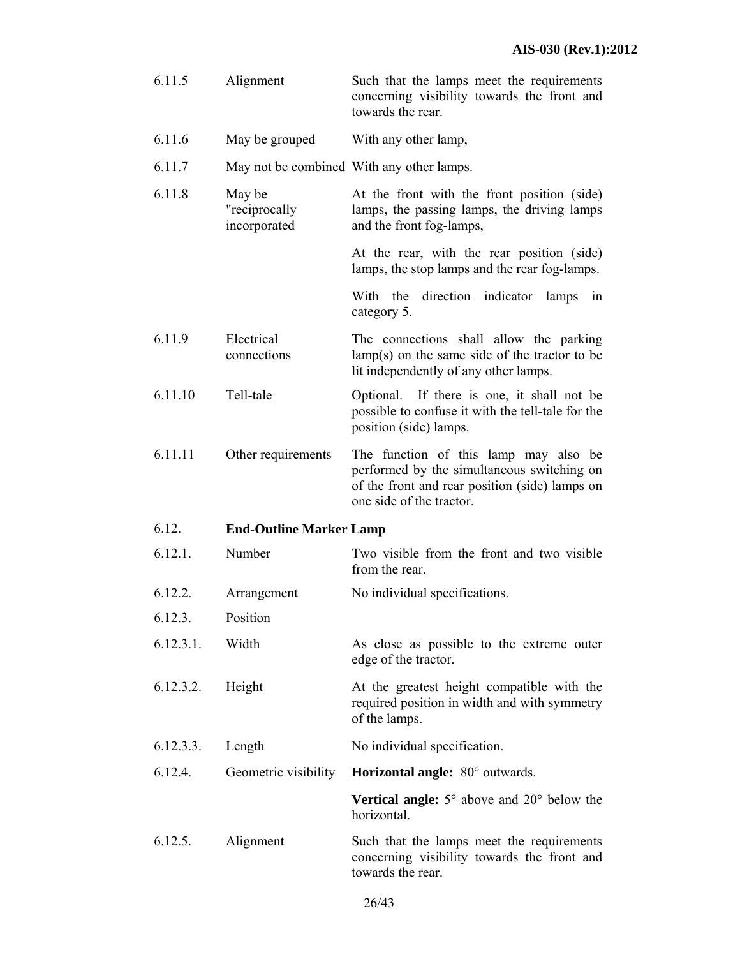- 6.11.5 Alignment Such that the lamps meet the requirements concerning visibility towards the front and towards the rear.
- 6.11.6 May be grouped With any other lamp,
- 6.11.7 May not be combined With any other lamps.
- 6.11.8 May be "reciprocally incorporated At the front with the front position (side) lamps, the passing lamps, the driving lamps and the front fog-lamps,
	- At the rear, with the rear position (side) lamps, the stop lamps and the rear fog-lamps.

With the direction indicator lamps in category 5.

- 6.11.9 Electrical connections The connections shall allow the parking lamp(s) on the same side of the tractor to be lit independently of any other lamps.
- 6.11.10 Tell-tale Optional. If there is one, it shall not be possible to confuse it with the tell-tale for the position (side) lamps.
- 6.11.11 Other requirements The function of this lamp may also be performed by the simultaneous switching on of the front and rear position (side) lamps on one side of the tractor.

#### 6.12. **End-Outline Marker Lamp**

- 6.12.1. Number Two visible from the front and two visible from the rear.
- 6.12.2. Arrangement No individual specifications.
- 6.12.3. Position
- 6.12.3.1. Width As close as possible to the extreme outer edge of the tractor.
- 6.12.3.2. Height At the greatest height compatible with the required position in width and with symmetry of the lamps.
- 6.12.3.3. Length No individual specification.
- 6.12.4. Geometric visibility **Horizontal angle:** 80° outwards.

**Vertical angle:** 5° above and 20° below the horizontal.

6.12.5. Alignment Such that the lamps meet the requirements concerning visibility towards the front and towards the rear.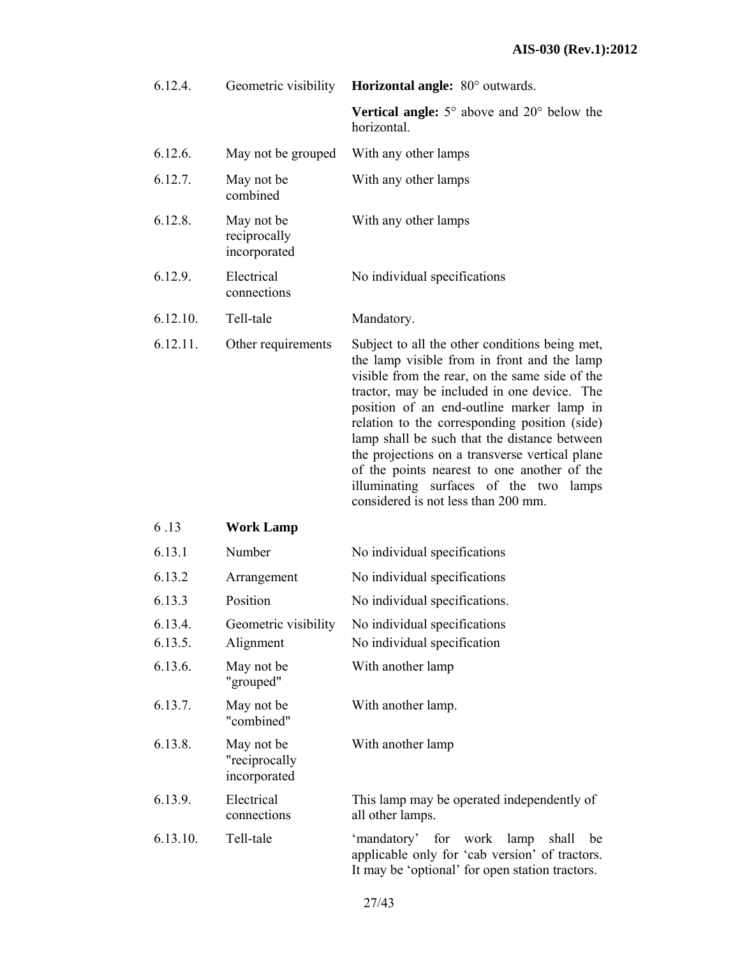| 6.12.4.            | Geometric visibility                        | Horizontal angle: 80° outwards.                                                                                                                                                                                                                                                                                                                                                                                                                                                                                                   |
|--------------------|---------------------------------------------|-----------------------------------------------------------------------------------------------------------------------------------------------------------------------------------------------------------------------------------------------------------------------------------------------------------------------------------------------------------------------------------------------------------------------------------------------------------------------------------------------------------------------------------|
|                    |                                             | <b>Vertical angle:</b> $5^\circ$ above and $20^\circ$ below the<br>horizontal.                                                                                                                                                                                                                                                                                                                                                                                                                                                    |
| 6.12.6.            | May not be grouped                          | With any other lamps                                                                                                                                                                                                                                                                                                                                                                                                                                                                                                              |
| 6.12.7.            | May not be<br>combined                      | With any other lamps                                                                                                                                                                                                                                                                                                                                                                                                                                                                                                              |
| 6.12.8.            | May not be<br>reciprocally<br>incorporated  | With any other lamps                                                                                                                                                                                                                                                                                                                                                                                                                                                                                                              |
| 6.12.9.            | Electrical<br>connections                   | No individual specifications                                                                                                                                                                                                                                                                                                                                                                                                                                                                                                      |
| 6.12.10.           | Tell-tale                                   | Mandatory.                                                                                                                                                                                                                                                                                                                                                                                                                                                                                                                        |
| 6.12.11.           | Other requirements                          | Subject to all the other conditions being met,<br>the lamp visible from in front and the lamp<br>visible from the rear, on the same side of the<br>tractor, may be included in one device. The<br>position of an end-outline marker lamp in<br>relation to the corresponding position (side)<br>lamp shall be such that the distance between<br>the projections on a transverse vertical plane<br>of the points nearest to one another of the<br>illuminating surfaces of the two<br>lamps<br>considered is not less than 200 mm. |
| 6.13               | <b>Work Lamp</b>                            |                                                                                                                                                                                                                                                                                                                                                                                                                                                                                                                                   |
| 6.13.1             | Number                                      | No individual specifications                                                                                                                                                                                                                                                                                                                                                                                                                                                                                                      |
| 6.13.2             | Arrangement                                 | No individual specifications                                                                                                                                                                                                                                                                                                                                                                                                                                                                                                      |
| 6.13.3             | Position                                    | No individual specifications.                                                                                                                                                                                                                                                                                                                                                                                                                                                                                                     |
| 6.13.4.<br>6.13.5. | Geometric visibility<br>Alignment           | No individual specifications<br>No individual specification                                                                                                                                                                                                                                                                                                                                                                                                                                                                       |
| 6.13.6.            | May not be<br>"grouped"                     | With another lamp                                                                                                                                                                                                                                                                                                                                                                                                                                                                                                                 |
| 6.13.7.            | May not be<br>"combined"                    | With another lamp.                                                                                                                                                                                                                                                                                                                                                                                                                                                                                                                |
| 6.13.8.            | May not be<br>"reciprocally<br>incorporated | With another lamp                                                                                                                                                                                                                                                                                                                                                                                                                                                                                                                 |
| 6.13.9.            | Electrical<br>connections                   | This lamp may be operated independently of<br>all other lamps.                                                                                                                                                                                                                                                                                                                                                                                                                                                                    |
| 6.13.10.           | Tell-tale                                   | 'mandatory' for work lamp<br>shall<br>be<br>applicable only for 'cab version' of tractors.<br>It may be 'optional' for open station tractors.                                                                                                                                                                                                                                                                                                                                                                                     |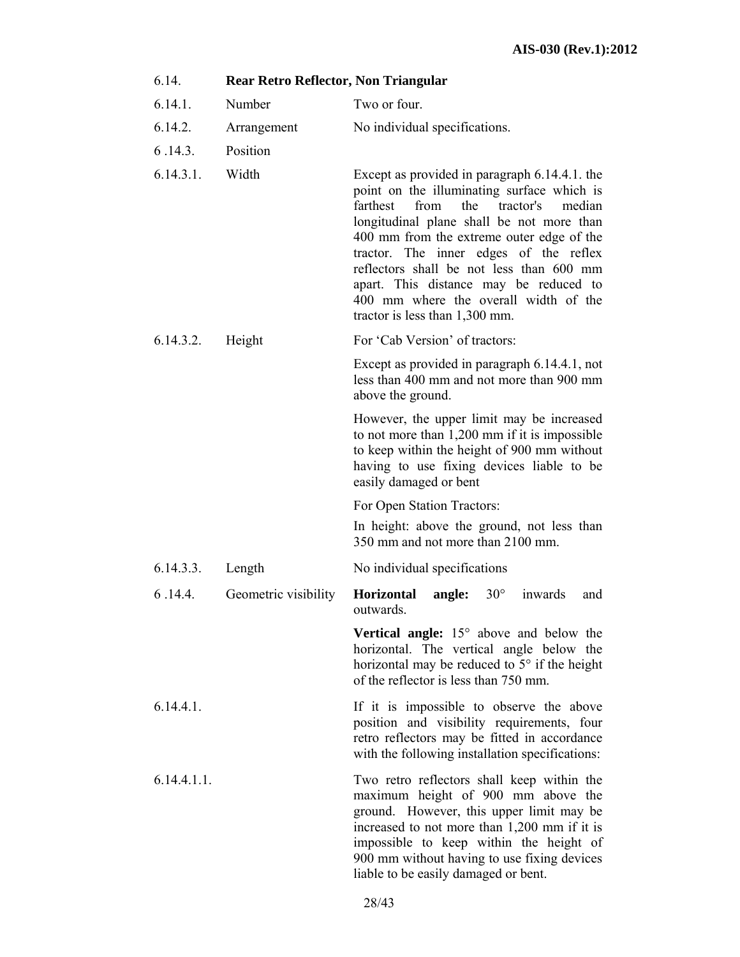| 6.14.       | Rear Retro Reflector, Non Triangular |                                                                                                                                                                                                                                                                                                                                                                                                                                                    |
|-------------|--------------------------------------|----------------------------------------------------------------------------------------------------------------------------------------------------------------------------------------------------------------------------------------------------------------------------------------------------------------------------------------------------------------------------------------------------------------------------------------------------|
| 6.14.1.     | Number                               | Two or four.                                                                                                                                                                                                                                                                                                                                                                                                                                       |
| 6.14.2.     | Arrangement                          | No individual specifications.                                                                                                                                                                                                                                                                                                                                                                                                                      |
| 6.14.3.     | Position                             |                                                                                                                                                                                                                                                                                                                                                                                                                                                    |
| 6.14.3.1.   | Width                                | Except as provided in paragraph 6.14.4.1. the<br>point on the illuminating surface which is<br>from<br>the<br>tractor's<br>farthest<br>median<br>longitudinal plane shall be not more than<br>400 mm from the extreme outer edge of the<br>tractor. The inner edges of the reflex<br>reflectors shall be not less than 600 mm<br>apart. This distance may be reduced to<br>400 mm where the overall width of the<br>tractor is less than 1,300 mm. |
| 6.14.3.2.   | Height                               | For 'Cab Version' of tractors:                                                                                                                                                                                                                                                                                                                                                                                                                     |
|             |                                      | Except as provided in paragraph 6.14.4.1, not<br>less than 400 mm and not more than 900 mm<br>above the ground.                                                                                                                                                                                                                                                                                                                                    |
|             |                                      | However, the upper limit may be increased<br>to not more than 1,200 mm if it is impossible<br>to keep within the height of 900 mm without<br>having to use fixing devices liable to be<br>easily damaged or bent                                                                                                                                                                                                                                   |
|             |                                      | For Open Station Tractors:                                                                                                                                                                                                                                                                                                                                                                                                                         |
|             |                                      | In height: above the ground, not less than<br>350 mm and not more than 2100 mm.                                                                                                                                                                                                                                                                                                                                                                    |
| 6.14.3.3.   | Length                               | No individual specifications                                                                                                                                                                                                                                                                                                                                                                                                                       |
| 6.14.4.     | Geometric visibility                 | <b>Horizontal</b><br>$30^{\circ}$<br>angle:<br>inwards<br>and<br>outwards.                                                                                                                                                                                                                                                                                                                                                                         |
|             |                                      | <b>Vertical angle:</b> $15^\circ$ above and below the<br>horizontal. The vertical angle below the<br>horizontal may be reduced to $5^{\circ}$ if the height<br>of the reflector is less than 750 mm.                                                                                                                                                                                                                                               |
| 6.14.4.1.   |                                      | If it is impossible to observe the above<br>position and visibility requirements, four<br>retro reflectors may be fitted in accordance<br>with the following installation specifications:                                                                                                                                                                                                                                                          |
| 6.14.4.1.1. |                                      | Two retro reflectors shall keep within the<br>maximum height of 900 mm above the<br>ground. However, this upper limit may be<br>increased to not more than 1,200 mm if it is<br>impossible to keep within the height of<br>900 mm without having to use fixing devices                                                                                                                                                                             |

liable to be easily damaged or bent.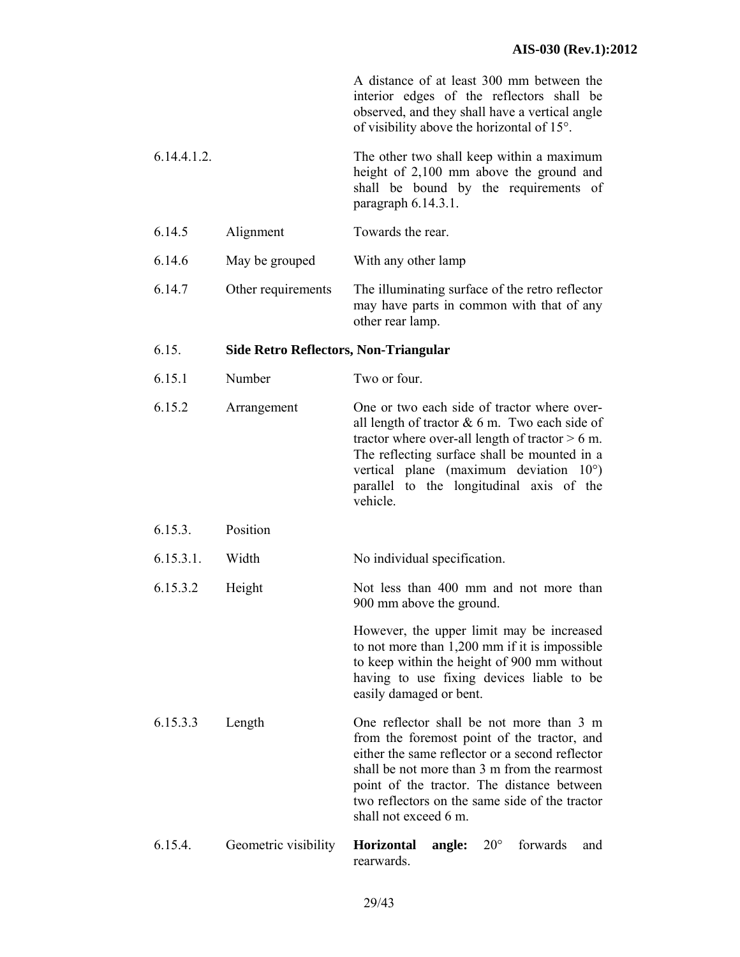A distance of at least 300 mm between the interior edges of the reflectors shall be observed, and they shall have a vertical angle of visibility above the horizontal of 15°.

6.14.4.1.2. The other two shall keep within a maximum height of 2,100 mm above the ground and shall be bound by the requirements of paragraph 6.14.3.1.

- 6.14.5 Alignment Towards the rear.
- 6.14.6 May be grouped With any other lamp
- 6.14.7 Other requirements The illuminating surface of the retro reflector may have parts in common with that of any other rear lamp.

#### 6.15. **Side Retro Reflectors, Non-Triangular**

6.15.1 Number Two or four.

6.15.2 Arrangement One or two each side of tractor where overall length of tractor  $& 6$  m. Two each side of tractor where over-all length of tractor  $> 6$  m. The reflecting surface shall be mounted in a vertical plane (maximum deviation 10°) parallel to the longitudinal axis of the vehicle.

#### 6.15.3. Position

6.15.3.1. Width No individual specification.

6.15.3.2 Height Not less than 400 mm and not more than 900 mm above the ground.

> However, the upper limit may be increased to not more than 1,200 mm if it is impossible to keep within the height of 900 mm without having to use fixing devices liable to be easily damaged or bent.

- 6.15.3.3 Length One reflector shall be not more than 3 m from the foremost point of the tractor, and either the same reflector or a second reflector shall be not more than 3 m from the rearmost point of the tractor. The distance between two reflectors on the same side of the tractor shall not exceed 6 m.
- 6.15.4. Geometric visibility **Horizontal angle:** 20° forwards and rearwards.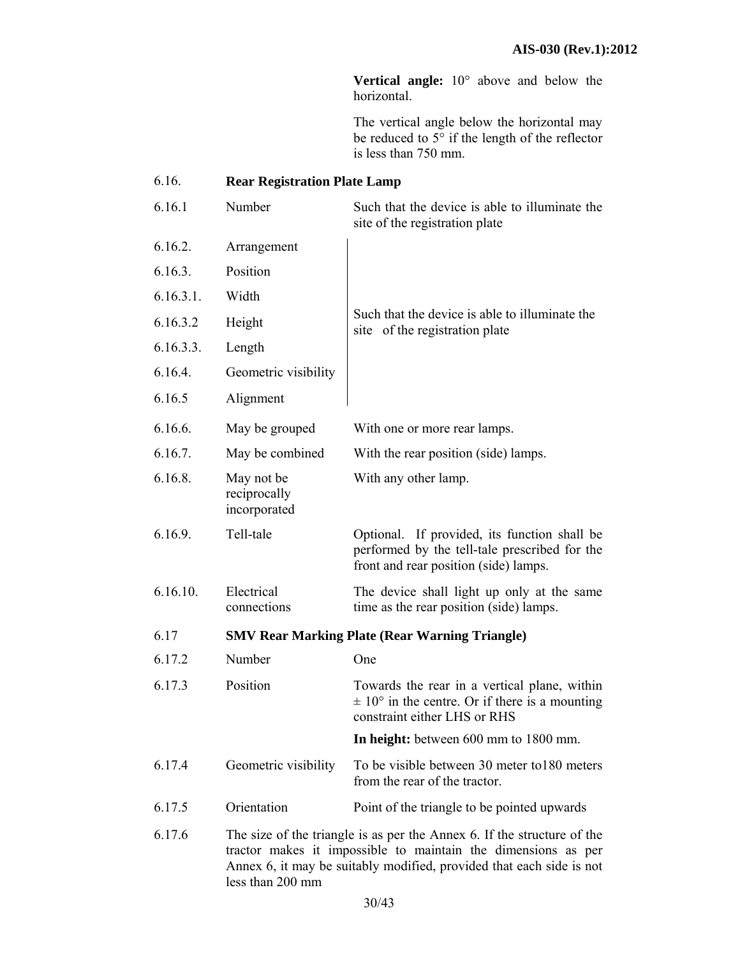**Vertical angle:** 10° above and below the horizontal.

The vertical angle below the horizontal may be reduced to 5° if the length of the reflector is less than 750 mm.

# 6.16. **Rear Registration Plate Lamp**

| 6.16.1    | Number                                                                                                                                                                                                                               | Such that the device is able to illuminate the<br>site of the registration plate                                                       |
|-----------|--------------------------------------------------------------------------------------------------------------------------------------------------------------------------------------------------------------------------------------|----------------------------------------------------------------------------------------------------------------------------------------|
| 6.16.2.   | Arrangement                                                                                                                                                                                                                          |                                                                                                                                        |
| 6.16.3.   | Position                                                                                                                                                                                                                             |                                                                                                                                        |
| 6.16.3.1. | Width                                                                                                                                                                                                                                |                                                                                                                                        |
| 6.16.3.2  | Height                                                                                                                                                                                                                               | Such that the device is able to illuminate the<br>site of the registration plate                                                       |
| 6.16.3.3. | Length                                                                                                                                                                                                                               |                                                                                                                                        |
| 6.16.4.   | Geometric visibility                                                                                                                                                                                                                 |                                                                                                                                        |
| 6.16.5    | Alignment                                                                                                                                                                                                                            |                                                                                                                                        |
| 6.16.6.   | May be grouped                                                                                                                                                                                                                       | With one or more rear lamps.                                                                                                           |
| 6.16.7.   | May be combined                                                                                                                                                                                                                      | With the rear position (side) lamps.                                                                                                   |
| 6.16.8.   | May not be<br>reciprocally<br>incorporated                                                                                                                                                                                           | With any other lamp.                                                                                                                   |
| 6.16.9.   | Tell-tale                                                                                                                                                                                                                            | Optional. If provided, its function shall be<br>performed by the tell-tale prescribed for the<br>front and rear position (side) lamps. |
| 6.16.10.  | Electrical<br>connections                                                                                                                                                                                                            | The device shall light up only at the same<br>time as the rear position (side) lamps.                                                  |
| 6.17      | <b>SMV Rear Marking Plate (Rear Warning Triangle)</b>                                                                                                                                                                                |                                                                                                                                        |
| 6.17.2    | Number                                                                                                                                                                                                                               | One                                                                                                                                    |
| 6.17.3    | Position                                                                                                                                                                                                                             | Towards the rear in a vertical plane, within<br>$\pm$ 10° in the centre. Or if there is a mounting<br>constraint either LHS or RHS     |
|           |                                                                                                                                                                                                                                      | In height: between 600 mm to 1800 mm.                                                                                                  |
| 6.17.4    | Geometric visibility                                                                                                                                                                                                                 | To be visible between 30 meter to 180 meters<br>from the rear of the tractor.                                                          |
| 6.17.5    | Orientation                                                                                                                                                                                                                          | Point of the triangle to be pointed upwards                                                                                            |
| 6.17.6    | The size of the triangle is as per the Annex 6. If the structure of the<br>tractor makes it impossible to maintain the dimensions as per<br>Annex 6, it may be suitably modified, provided that each side is not<br>less than 200 mm |                                                                                                                                        |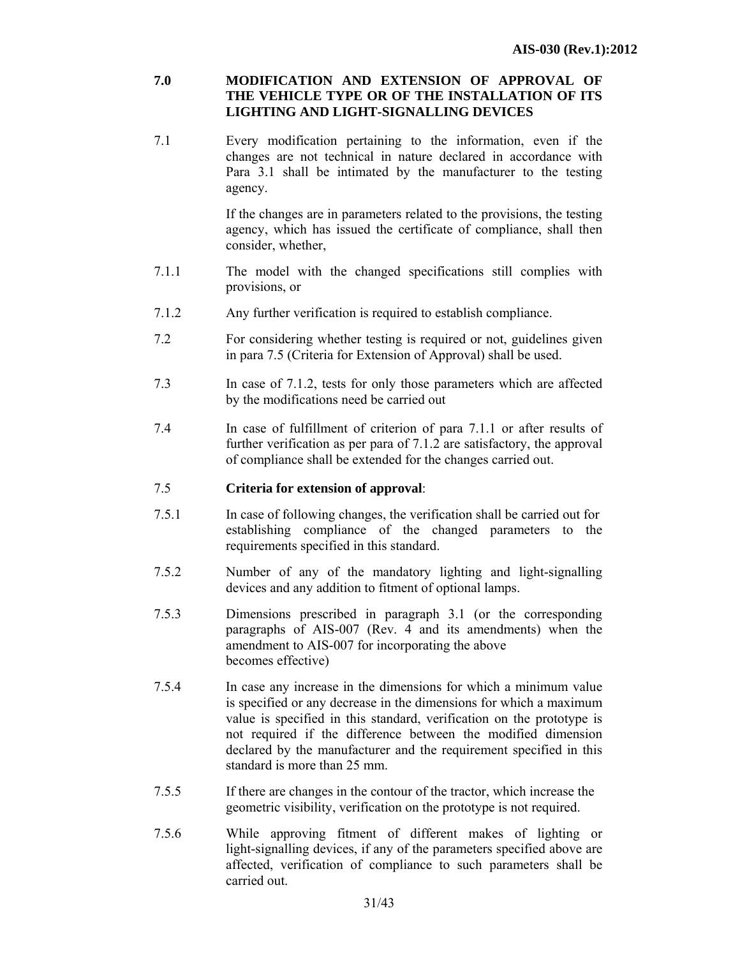# **7.0 MODIFICATION AND EXTENSION OF APPROVAL OF THE VEHICLE TYPE OR OF THE INSTALLATION OF ITS LIGHTING AND LIGHT-SIGNALLING DEVICES**

7.1 Every modification pertaining to the information, even if the changes are not technical in nature declared in accordance with Para 3.1 shall be intimated by the manufacturer to the testing agency.

> If the changes are in parameters related to the provisions, the testing agency, which has issued the certificate of compliance, shall then consider, whether,

- 7.1.1 The model with the changed specifications still complies with provisions, or
- 7.1.2 Any further verification is required to establish compliance.
- 7.2 For considering whether testing is required or not, guidelines given in para 7.5 (Criteria for Extension of Approval) shall be used.
- 7.3 In case of 7.1.2, tests for only those parameters which are affected by the modifications need be carried out
- 7.4 In case of fulfillment of criterion of para 7.1.1 or after results of further verification as per para of 7.1.2 are satisfactory, the approval of compliance shall be extended for the changes carried out.

# 7.5 **Criteria for extension of approval**:

- 7.5.1 In case of following changes, the verification shall be carried out for establishing compliance of the changed parameters to the requirements specified in this standard.
- 7.5.2 Number of any of the mandatory lighting and light-signalling devices and any addition to fitment of optional lamps.
- 7.5.3 Dimensions prescribed in paragraph 3.1 (or the corresponding paragraphs of AIS-007 (Rev. 4 and its amendments) when the amendment to AIS-007 for incorporating the above becomes effective)
- 7.5.4 In case any increase in the dimensions for which a minimum value is specified or any decrease in the dimensions for which a maximum value is specified in this standard, verification on the prototype is not required if the difference between the modified dimension declared by the manufacturer and the requirement specified in this standard is more than 25 mm.
- 7.5.5 If there are changes in the contour of the tractor, which increase the geometric visibility, verification on the prototype is not required.
- 7.5.6 While approving fitment of different makes of lighting or light-signalling devices, if any of the parameters specified above are affected, verification of compliance to such parameters shall be carried out.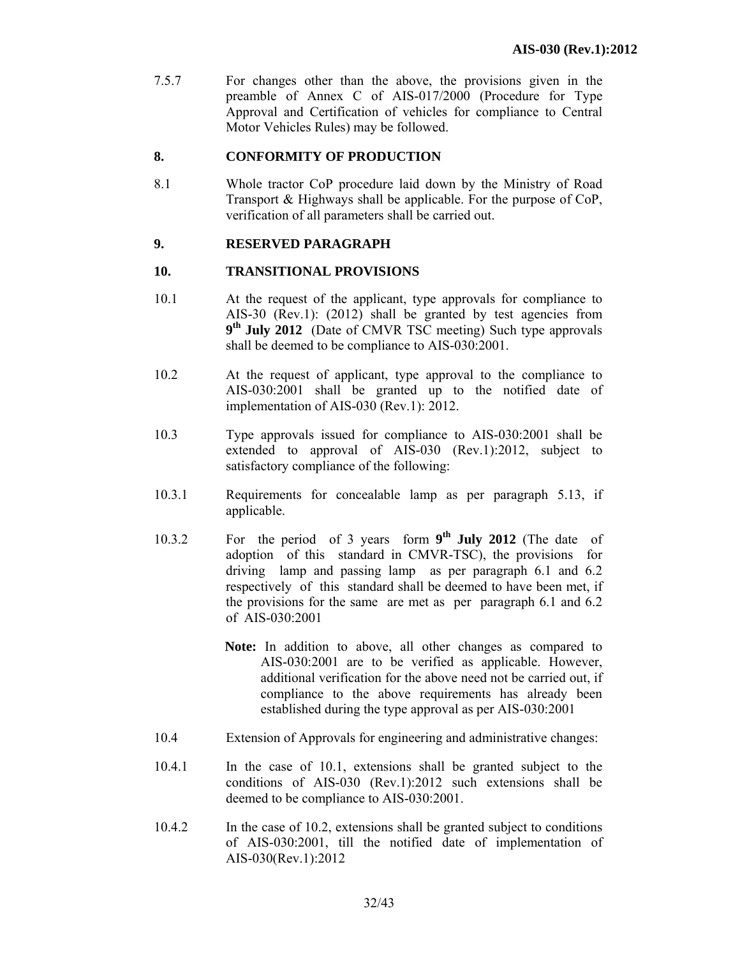7.5.7 For changes other than the above, the provisions given in the preamble of Annex C of AIS-017/2000 (Procedure for Type Approval and Certification of vehicles for compliance to Central Motor Vehicles Rules) may be followed.

# **8. CONFORMITY OF PRODUCTION**

8.1 Whole tractor CoP procedure laid down by the Ministry of Road Transport & Highways shall be applicable. For the purpose of CoP, verification of all parameters shall be carried out.

# **9. RESERVED PARAGRAPH**

# **10. TRANSITIONAL PROVISIONS**

- 10.1 At the request of the applicant, type approvals for compliance to AIS-30 (Rev.1): (2012) shall be granted by test agencies from **9th July 2012** (Date of CMVR TSC meeting) Such type approvals shall be deemed to be compliance to AIS-030:2001.
- 10.2 At the request of applicant, type approval to the compliance to AIS-030:2001 shall be granted up to the notified date of implementation of AIS-030 (Rev.1): 2012.
- 10.3 Type approvals issued for compliance to AIS-030:2001 shall be extended to approval of AIS-030 (Rev.1):2012, subject to satisfactory compliance of the following:
- 10.3.1 Requirements for concealable lamp as per paragraph 5.13, if applicable.
- 10.3.2 For the period of 3 years form **9th July 2012** (The date of adoption of this standard in CMVR-TSC), the provisions for driving lamp and passing lamp as per paragraph 6.1 and 6.2 respectively of this standard shall be deemed to have been met, if the provisions for the same are met as per paragraph 6.1 and 6.2 of AIS-030:2001
	- **Note:** In addition to above, all other changes as compared to AIS-030:2001 are to be verified as applicable. However, additional verification for the above need not be carried out, if compliance to the above requirements has already been established during the type approval as per AIS-030:2001
- 10.4 Extension of Approvals for engineering and administrative changes:
- 10.4.1 In the case of 10.1, extensions shall be granted subject to the conditions of AIS-030 (Rev.1):2012 such extensions shall be deemed to be compliance to AIS-030:2001.
- 10.4.2 In the case of 10.2, extensions shall be granted subject to conditions of AIS-030:2001, till the notified date of implementation of AIS-030(Rev.1):2012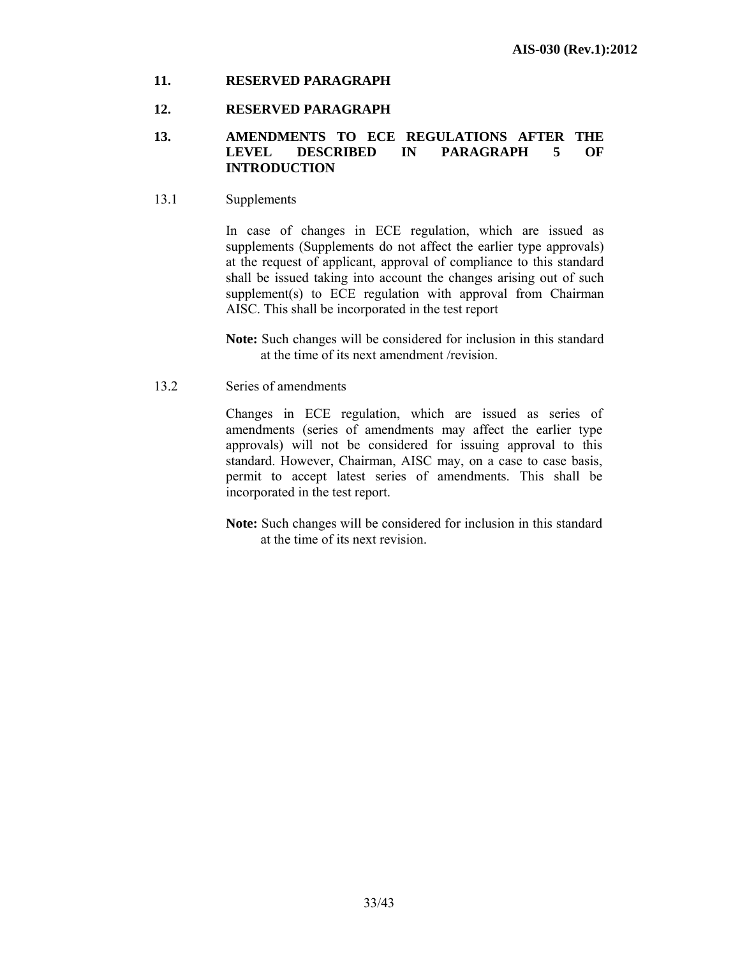# **11. RESERVED PARAGRAPH**

#### **12. RESERVED PARAGRAPH**

#### **13. AMENDMENTS TO ECE REGULATIONS AFTER THE LEVEL DESCRIBED IN PARAGRAPH 5 OF INTRODUCTION**

#### 13.1 Supplements

 In case of changes in ECE regulation, which are issued as supplements (Supplements do not affect the earlier type approvals) at the request of applicant, approval of compliance to this standard shall be issued taking into account the changes arising out of such supplement(s) to ECE regulation with approval from Chairman AISC. This shall be incorporated in the test report

**Note:** Such changes will be considered for inclusion in this standard at the time of its next amendment /revision.

13.2 Series of amendments

 Changes in ECE regulation, which are issued as series of amendments (series of amendments may affect the earlier type approvals) will not be considered for issuing approval to this standard. However, Chairman, AISC may, on a case to case basis, permit to accept latest series of amendments. This shall be incorporated in the test report.

**Note:** Such changes will be considered for inclusion in this standard at the time of its next revision.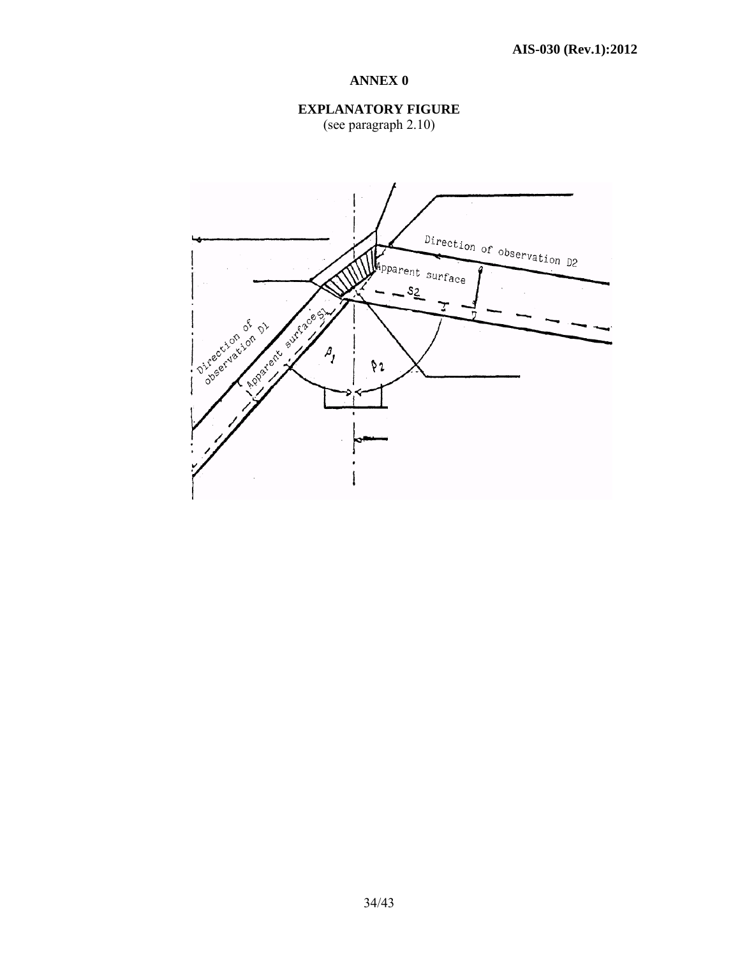

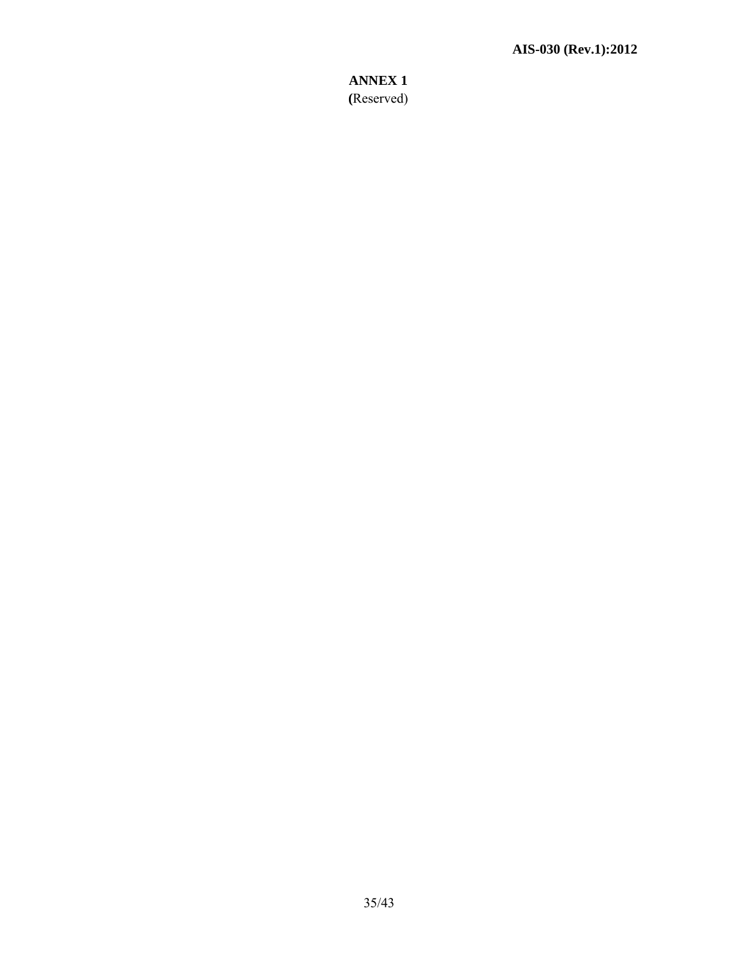**ANNEX 1 (**Reserved)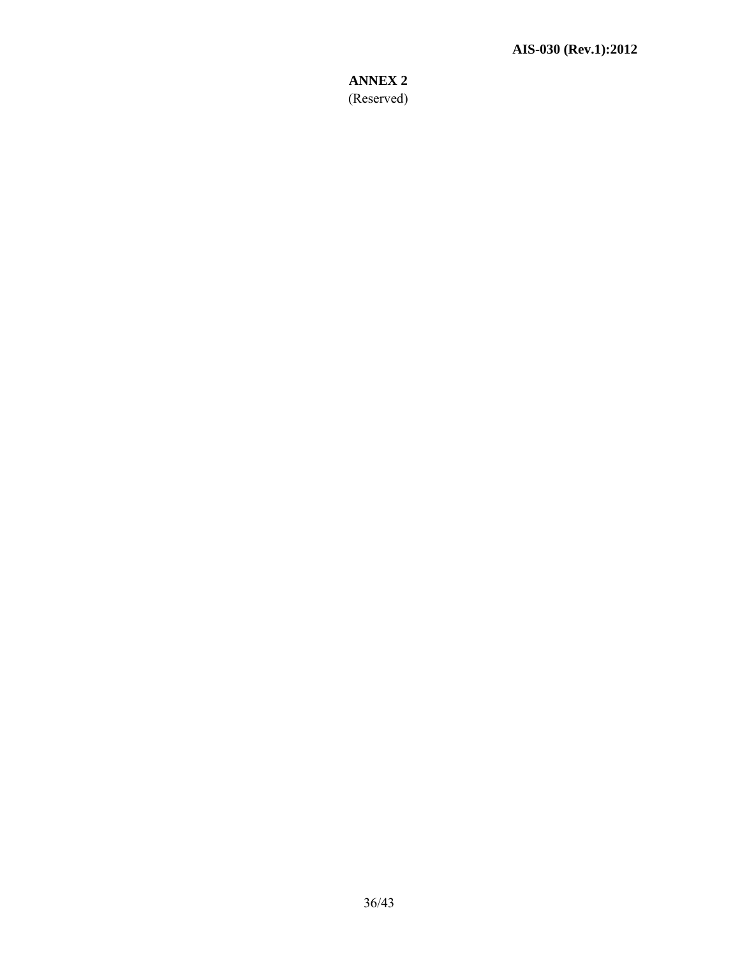**ANNEX 2**  (Reserved)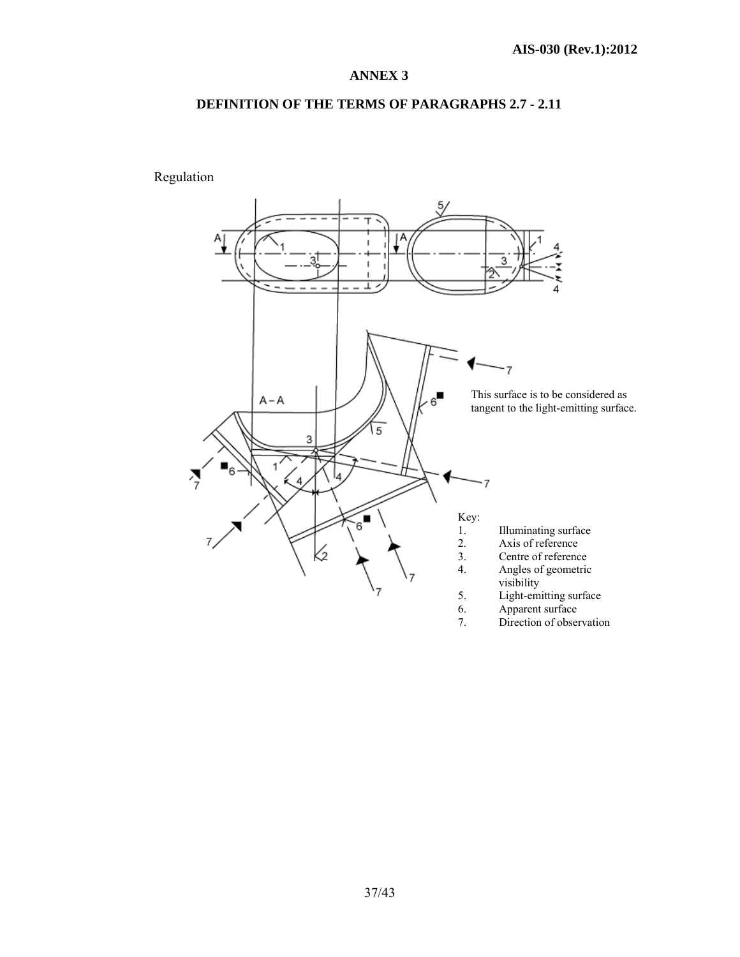# **DEFINITION OF THE TERMS OF PARAGRAPHS 2.7 - 2.11**

Regulation

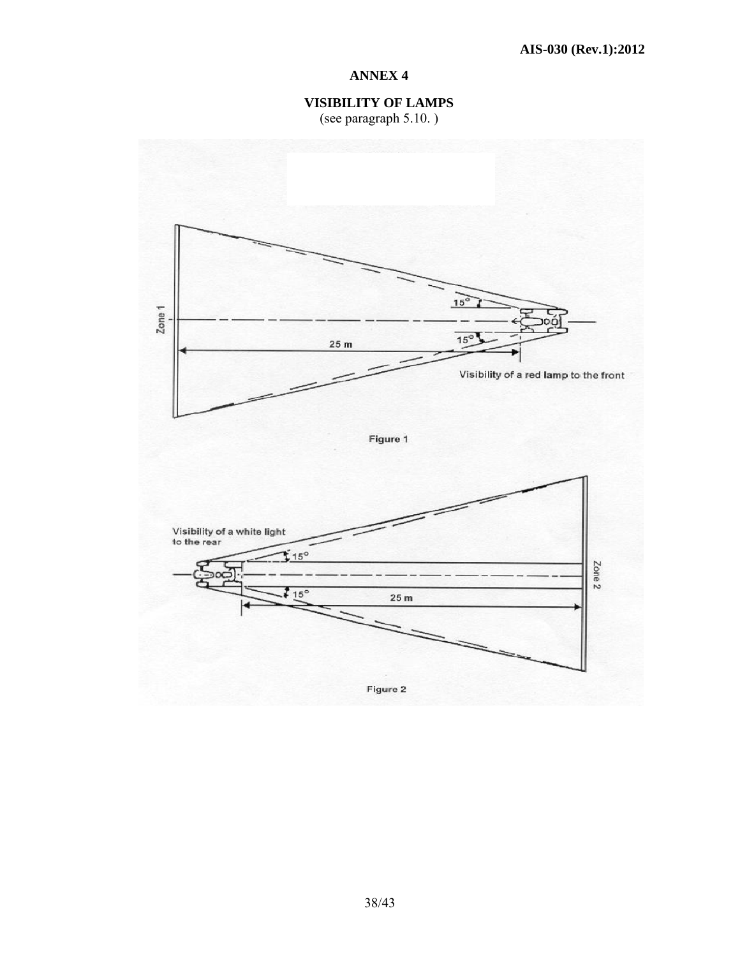**VISIBILITY OF LAMPS**  (see paragraph 5.10. )

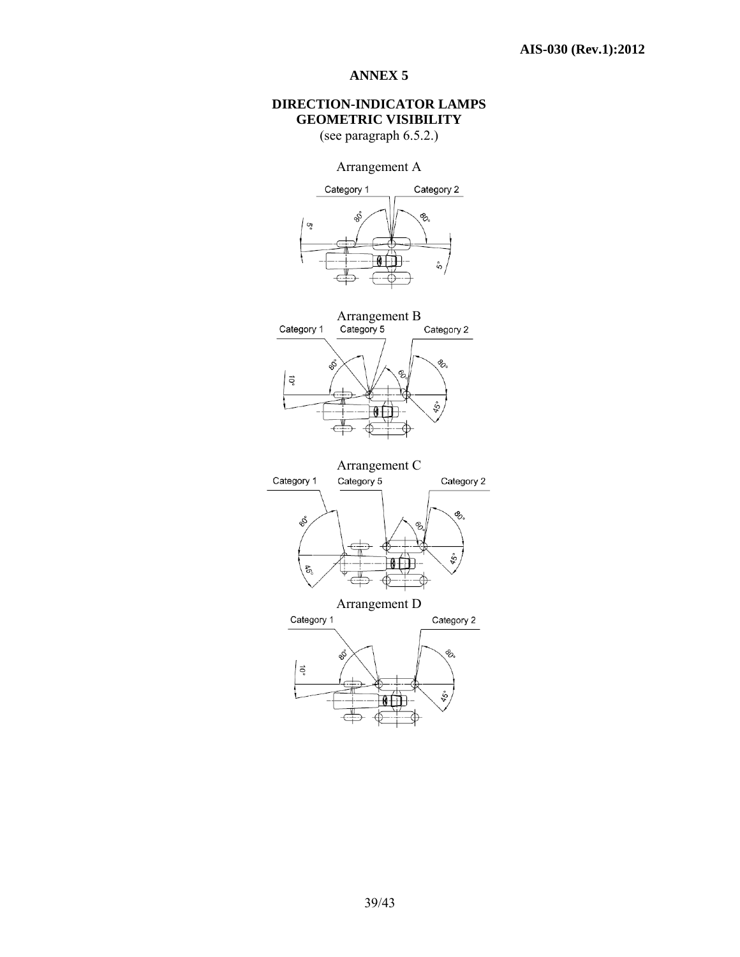# **DIRECTION-INDICATOR LAMPS GEOMETRIC VISIBILITY**

(see paragraph 6.5.2.)

Arrangement A





 $\epsilon$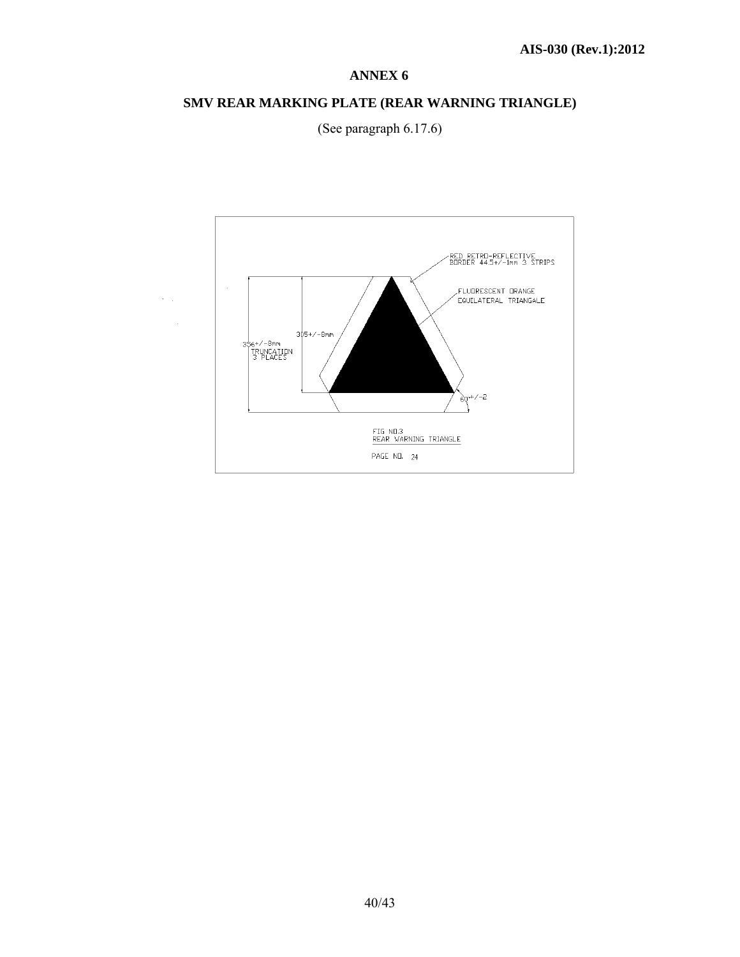# **SMV REAR MARKING PLATE (REAR WARNING TRIANGLE)**



 $\epsilon_{\rm{max}}$ 

(See paragraph 6.17.6)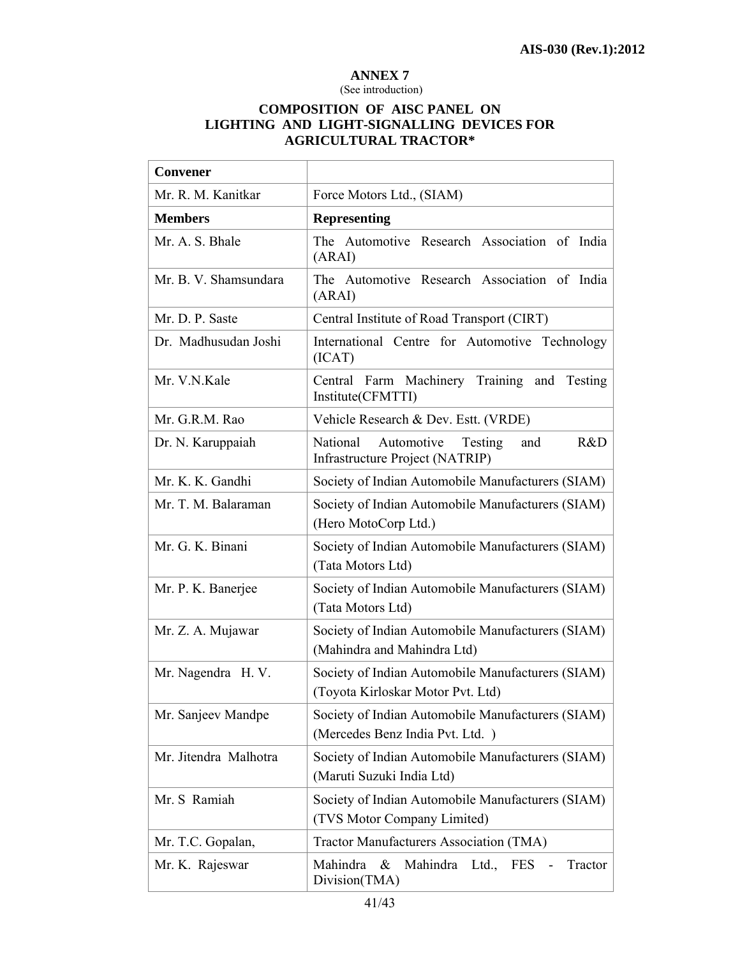#### (See introduction)

# **COMPOSITION OF AISC PANEL ON LIGHTING AND LIGHT-SIGNALLING DEVICES FOR AGRICULTURAL TRACTOR\***

| <b>Convener</b>       |                                                                                        |
|-----------------------|----------------------------------------------------------------------------------------|
| Mr. R. M. Kanitkar    | Force Motors Ltd., (SIAM)                                                              |
| <b>Members</b>        | <b>Representing</b>                                                                    |
| Mr. A. S. Bhale       | The Automotive Research Association of India<br>(ARAI)                                 |
| Mr. B. V. Shamsundara | The Automotive Research Association of India<br>(ARAI)                                 |
| Mr. D. P. Saste       | Central Institute of Road Transport (CIRT)                                             |
| Dr. Madhusudan Joshi  | International Centre for Automotive Technology<br>(ICAT)                               |
| Mr. V.N.Kale          | Central Farm Machinery Training and Testing<br>Institute(CFMTTI)                       |
| Mr. G.R.M. Rao        | Vehicle Research & Dev. Estt. (VRDE)                                                   |
| Dr. N. Karuppaiah     | National<br>Automotive<br>Testing<br>R&D<br>and<br>Infrastructure Project (NATRIP)     |
| Mr. K. K. Gandhi      | Society of Indian Automobile Manufacturers (SIAM)                                      |
| Mr. T. M. Balaraman   | Society of Indian Automobile Manufacturers (SIAM)<br>(Hero MotoCorp Ltd.)              |
| Mr. G. K. Binani      | Society of Indian Automobile Manufacturers (SIAM)<br>(Tata Motors Ltd)                 |
| Mr. P. K. Banerjee    | Society of Indian Automobile Manufacturers (SIAM)<br>(Tata Motors Ltd)                 |
| Mr. Z. A. Mujawar     | Society of Indian Automobile Manufacturers (SIAM)<br>(Mahindra and Mahindra Ltd)       |
| Mr. Nagendra H. V.    | Society of Indian Automobile Manufacturers (SIAM)<br>(Toyota Kirloskar Motor Pvt. Ltd) |
| Mr. Sanjeev Mandpe    | Society of Indian Automobile Manufacturers (SIAM)<br>(Mercedes Benz India Pvt. Ltd.)   |
| Mr. Jitendra Malhotra | Society of Indian Automobile Manufacturers (SIAM)<br>(Maruti Suzuki India Ltd)         |
| Mr. S Ramiah          | Society of Indian Automobile Manufacturers (SIAM)<br>(TVS Motor Company Limited)       |
| Mr. T.C. Gopalan,     | Tractor Manufacturers Association (TMA)                                                |
| Mr. K. Rajeswar       | Mahindra<br>& Mahindra<br>Tractor<br>Ltd., FES<br>Division(TMA)                        |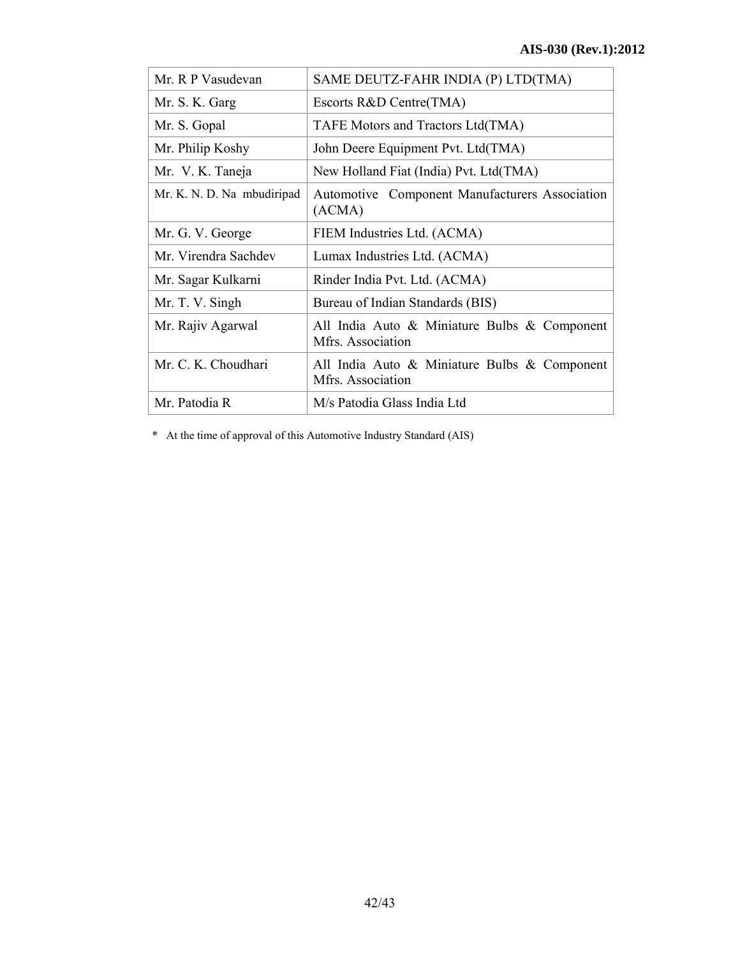| Mr. R P Vasudevan          | SAME DEUTZ-FAHR INDIA (P) LTD(TMA)                                |
|----------------------------|-------------------------------------------------------------------|
| Mr. S. K. Garg             | Escorts R&D Centre(TMA)                                           |
| Mr. S. Gopal               | TAFE Motors and Tractors Ltd(TMA)                                 |
| Mr. Philip Koshy           | John Deere Equipment Pvt. Ltd(TMA)                                |
| Mr. V. K. Taneja           | New Holland Fiat (India) Pvt. Ltd(TMA)                            |
| Mr. K. N. D. Na mbudiripad | Automotive Component Manufacturers Association<br>(ACMA)          |
| Mr. G. V. George           | FIEM Industries Ltd. (ACMA)                                       |
| Mr. Virendra Sachdev       | Lumax Industries Ltd. (ACMA)                                      |
| Mr. Sagar Kulkarni         | Rinder India Pvt. Ltd. (ACMA)                                     |
| Mr. T. V. Singh            | Bureau of Indian Standards (BIS)                                  |
| Mr. Rajiv Agarwal          | All India Auto & Miniature Bulbs & Component<br>Mfrs. Association |
| Mr. C. K. Choudhari        | All India Auto & Miniature Bulbs & Component<br>Mfrs. Association |
| Mr. Patodia R              | M/s Patodia Glass India Ltd                                       |

\* At the time of approval of this Automotive Industry Standard (AIS)